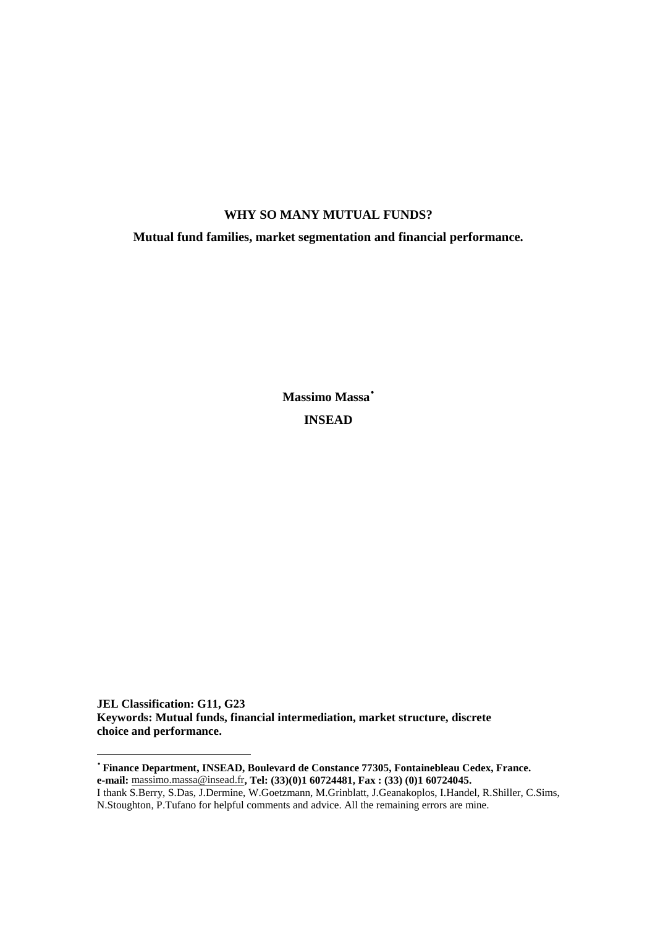# **WHY SO MANY MUTUAL FUNDS?**

**Mutual fund families, market segmentation and financial performance.** 

**Massimo Massa**• **INSEAD** 

**JEL Classification: G11, G23 Keywords: Mutual funds, financial intermediation, market structure, discrete choice and performance.** 

L,

•  **Finance Department, INSEAD, Boulevard de Constance 77305, Fontainebleau Cedex, France. e-mail:** massimo.massa@insead.fr**, Tel: (33)(0)1 60724481, Fax : (33) (0)1 60724045.** 

I thank S.Berry, S.Das, J.Dermine, W.Goetzmann, M.Grinblatt, J.Geanakoplos, I.Handel, R.Shiller, C.Sims, N.Stoughton, P.Tufano for helpful comments and advice. All the remaining errors are mine.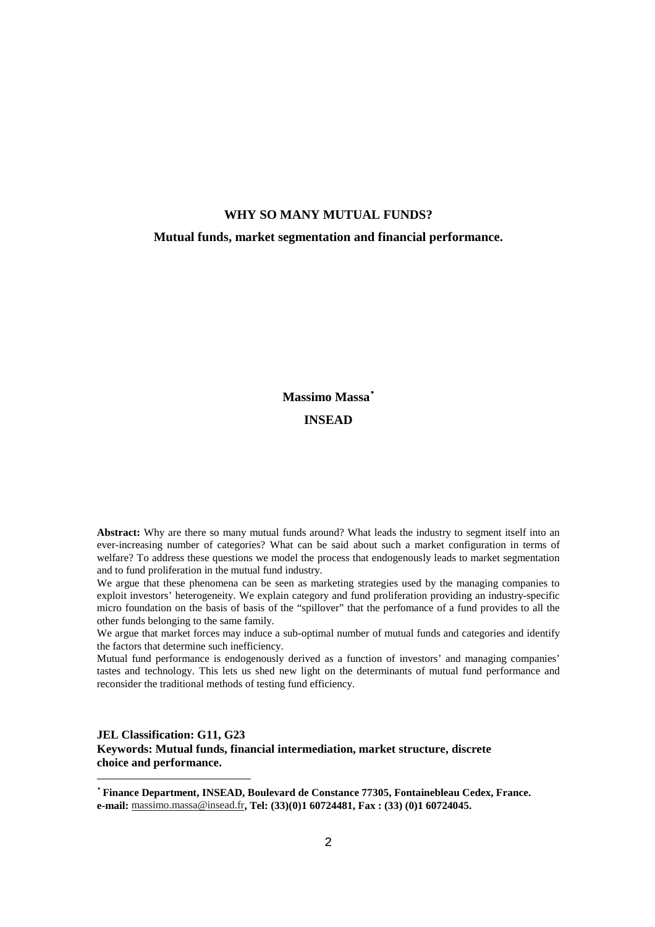## **WHY SO MANY MUTUAL FUNDS?**

**Mutual funds, market segmentation and financial performance.** 

# **Massimo Massa**• **INSEAD**

**Abstract:** Why are there so many mutual funds around? What leads the industry to segment itself into an ever-increasing number of categories? What can be said about such a market configuration in terms of welfare? To address these questions we model the process that endogenously leads to market segmentation and to fund proliferation in the mutual fund industry.

We argue that these phenomena can be seen as marketing strategies used by the managing companies to exploit investors' heterogeneity. We explain category and fund proliferation providing an industry-specific micro foundation on the basis of basis of the "spillover" that the perfomance of a fund provides to all the other funds belonging to the same family.

We argue that market forces may induce a sub-optimal number of mutual funds and categories and identify the factors that determine such inefficiency.

Mutual fund performance is endogenously derived as a function of investors' and managing companies' tastes and technology. This lets us shed new light on the determinants of mutual fund performance and reconsider the traditional methods of testing fund efficiency.

**JEL Classification: G11, G23 Keywords: Mutual funds, financial intermediation, market structure, discrete choice and performance.** 

L,

•  **Finance Department, INSEAD, Boulevard de Constance 77305, Fontainebleau Cedex, France. e-mail:** massimo.massa@insead.fr**, Tel: (33)(0)1 60724481, Fax : (33) (0)1 60724045.**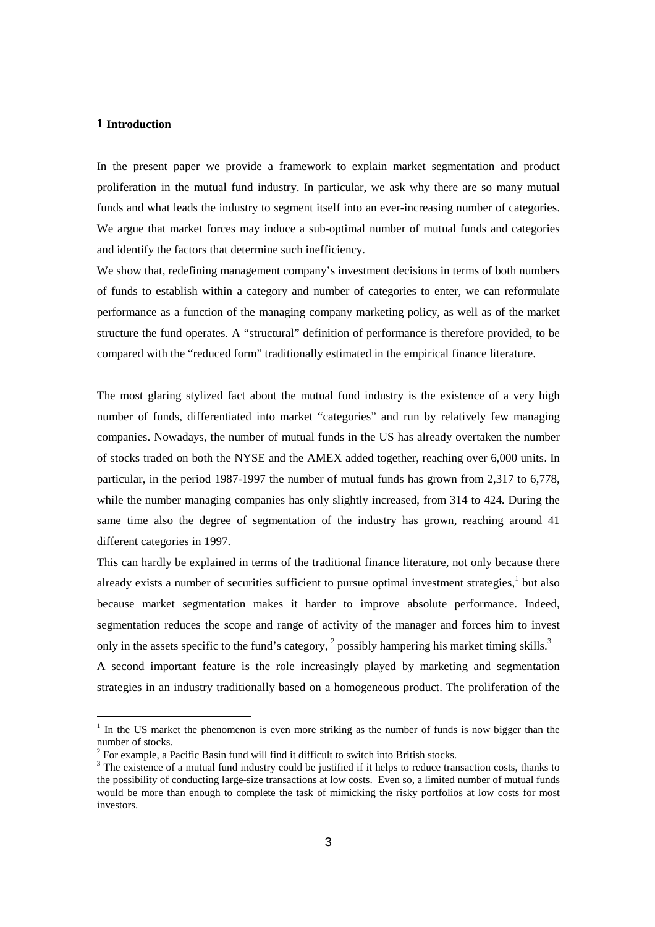## **1 Introduction**

-

In the present paper we provide a framework to explain market segmentation and product proliferation in the mutual fund industry. In particular, we ask why there are so many mutual funds and what leads the industry to segment itself into an ever-increasing number of categories. We argue that market forces may induce a sub-optimal number of mutual funds and categories and identify the factors that determine such inefficiency.

We show that, redefining management company's investment decisions in terms of both numbers of funds to establish within a category and number of categories to enter, we can reformulate performance as a function of the managing company marketing policy, as well as of the market structure the fund operates. A "structural" definition of performance is therefore provided, to be compared with the "reduced form" traditionally estimated in the empirical finance literature.

The most glaring stylized fact about the mutual fund industry is the existence of a very high number of funds, differentiated into market "categories" and run by relatively few managing companies. Nowadays, the number of mutual funds in the US has already overtaken the number of stocks traded on both the NYSE and the AMEX added together, reaching over 6,000 units. In particular, in the period 1987-1997 the number of mutual funds has grown from 2,317 to 6,778, while the number managing companies has only slightly increased, from 314 to 424. During the same time also the degree of segmentation of the industry has grown, reaching around 41 different categories in 1997.

This can hardly be explained in terms of the traditional finance literature, not only because there already exists a number of securities sufficient to pursue optimal investment strategies,<sup>1</sup> but also because market segmentation makes it harder to improve absolute performance. Indeed, segmentation reduces the scope and range of activity of the manager and forces him to invest only in the assets specific to the fund's category,  $2$  possibly hampering his market timing skills.<sup>3</sup> A second important feature is the role increasingly played by marketing and segmentation strategies in an industry traditionally based on a homogeneous product. The proliferation of the

<sup>&</sup>lt;sup>1</sup> In the US market the phenomenon is even more striking as the number of funds is now bigger than the number of stocks.

<sup>2</sup> For example, a Pacific Basin fund will find it difficult to switch into British stocks.

 $3$  The existence of a mutual fund industry could be justified if it helps to reduce transaction costs, thanks to the possibility of conducting large-size transactions at low costs. Even so, a limited number of mutual funds would be more than enough to complete the task of mimicking the risky portfolios at low costs for most investors.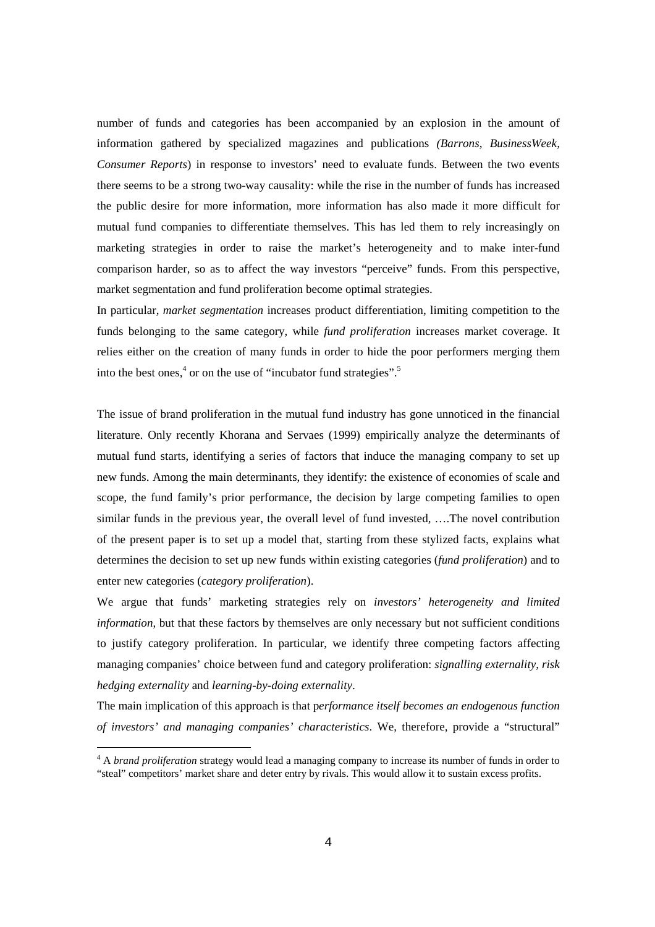number of funds and categories has been accompanied by an explosion in the amount of information gathered by specialized magazines and publications *(Barrons, BusinessWeek, Consumer Reports*) in response to investors' need to evaluate funds. Between the two events there seems to be a strong two-way causality: while the rise in the number of funds has increased the public desire for more information, more information has also made it more difficult for mutual fund companies to differentiate themselves. This has led them to rely increasingly on marketing strategies in order to raise the market's heterogeneity and to make inter-fund comparison harder, so as to affect the way investors "perceive" funds. From this perspective, market segmentation and fund proliferation become optimal strategies.

In particular, *market segmentation* increases product differentiation, limiting competition to the funds belonging to the same category, while *fund proliferation* increases market coverage. It relies either on the creation of many funds in order to hide the poor performers merging them into the best ones,<sup>4</sup> or on the use of "incubator fund strategies".<sup>5</sup>

The issue of brand proliferation in the mutual fund industry has gone unnoticed in the financial literature. Only recently Khorana and Servaes (1999) empirically analyze the determinants of mutual fund starts, identifying a series of factors that induce the managing company to set up new funds. Among the main determinants, they identify: the existence of economies of scale and scope, the fund family's prior performance, the decision by large competing families to open similar funds in the previous year, the overall level of fund invested, ….The novel contribution of the present paper is to set up a model that, starting from these stylized facts, explains what determines the decision to set up new funds within existing categories (*fund proliferation*) and to enter new categories (*category proliferation*).

We argue that funds' marketing strategies rely on *investors' heterogeneity and limited information*, but that these factors by themselves are only necessary but not sufficient conditions to justify category proliferation. In particular, we identify three competing factors affecting managing companies' choice between fund and category proliferation: *signalling externality*, *risk hedging externality* and *learning-by-doing externality*.

The main implication of this approach is that p*erformance itself becomes an endogenous function of investors' and managing companies' characteristics*. We, therefore, provide a "structural"

L,

<sup>&</sup>lt;sup>4</sup> A *brand proliferation* strategy would lead a managing company to increase its number of funds in order to "steal" competitors' market share and deter entry by rivals. This would allow it to sustain excess profits.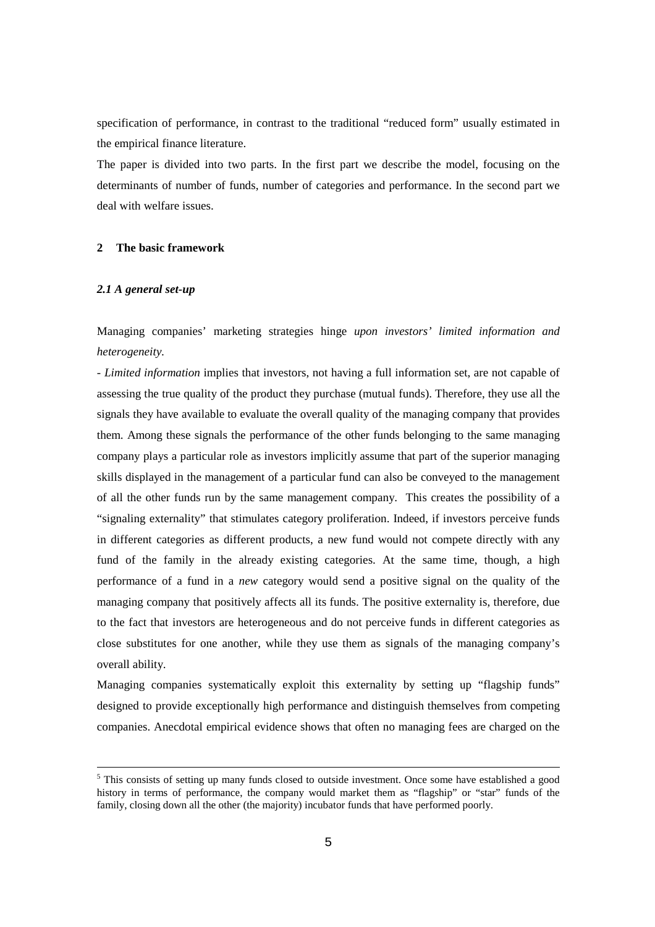specification of performance, in contrast to the traditional "reduced form" usually estimated in the empirical finance literature.

The paper is divided into two parts. In the first part we describe the model, focusing on the determinants of number of funds, number of categories and performance. In the second part we deal with welfare issues.

## **2 The basic framework**

## *2.1 A general set-up*

Managing companies' marketing strategies hinge *upon investors' limited information and heterogeneity.* 

*- Limited information* implies that investors, not having a full information set, are not capable of assessing the true quality of the product they purchase (mutual funds). Therefore, they use all the signals they have available to evaluate the overall quality of the managing company that provides them. Among these signals the performance of the other funds belonging to the same managing company plays a particular role as investors implicitly assume that part of the superior managing skills displayed in the management of a particular fund can also be conveyed to the management of all the other funds run by the same management company. This creates the possibility of a "signaling externality" that stimulates category proliferation. Indeed, if investors perceive funds in different categories as different products, a new fund would not compete directly with any fund of the family in the already existing categories. At the same time, though, a high performance of a fund in a *new* category would send a positive signal on the quality of the managing company that positively affects all its funds. The positive externality is, therefore, due to the fact that investors are heterogeneous and do not perceive funds in different categories as close substitutes for one another, while they use them as signals of the managing company's overall ability.

Managing companies systematically exploit this externality by setting up "flagship funds" designed to provide exceptionally high performance and distinguish themselves from competing companies. Anecdotal empirical evidence shows that often no managing fees are charged on the

<sup>&</sup>lt;sup>5</sup> This consists of setting up many funds closed to outside investment. Once some have established a good history in terms of performance, the company would market them as "flagship" or "star" funds of the family, closing down all the other (the majority) incubator funds that have performed poorly.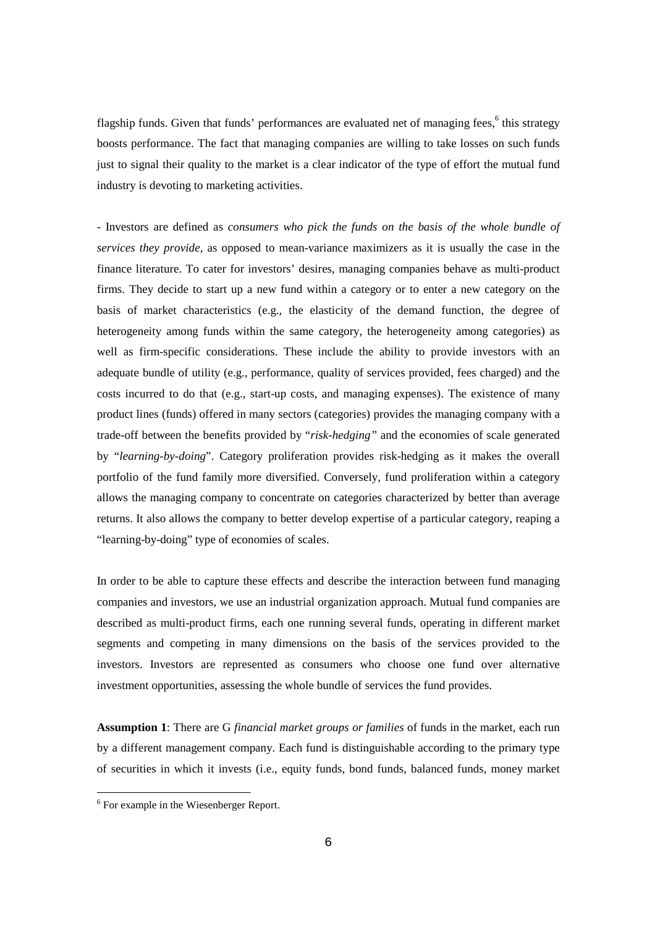flagship funds. Given that funds' performances are evaluated net of managing fees,<sup>6</sup> this strategy boosts performance. The fact that managing companies are willing to take losses on such funds just to signal their quality to the market is a clear indicator of the type of effort the mutual fund industry is devoting to marketing activities.

- Investors are defined as *consumers who pick the funds on the basis of the whole bundle of services they provide,* as opposed to mean-variance maximizers as it is usually the case in the finance literature. To cater for investors' desires, managing companies behave as multi-product firms. They decide to start up a new fund within a category or to enter a new category on the basis of market characteristics (e.g., the elasticity of the demand function, the degree of heterogeneity among funds within the same category, the heterogeneity among categories) as well as firm-specific considerations. These include the ability to provide investors with an adequate bundle of utility (e.g., performance, quality of services provided, fees charged) and the costs incurred to do that (e.g., start-up costs, and managing expenses). The existence of many product lines (funds) offered in many sectors (categories) provides the managing company with a trade-off between the benefits provided by "*risk-hedging"* and the economies of scale generated by "*learning-by-doing*". Category proliferation provides risk-hedging as it makes the overall portfolio of the fund family more diversified. Conversely, fund proliferation within a category allows the managing company to concentrate on categories characterized by better than average returns. It also allows the company to better develop expertise of a particular category, reaping a "learning-by-doing" type of economies of scales.

In order to be able to capture these effects and describe the interaction between fund managing companies and investors, we use an industrial organization approach. Mutual fund companies are described as multi-product firms, each one running several funds, operating in different market segments and competing in many dimensions on the basis of the services provided to the investors. Investors are represented as consumers who choose one fund over alternative investment opportunities, assessing the whole bundle of services the fund provides.

**Assumption 1**: There are G *financial market groups or families* of funds in the market, each run by a different management company. Each fund is distinguishable according to the primary type of securities in which it invests (i.e., equity funds, bond funds, balanced funds, money market

L,

<sup>&</sup>lt;sup>6</sup> For example in the Wiesenberger Report.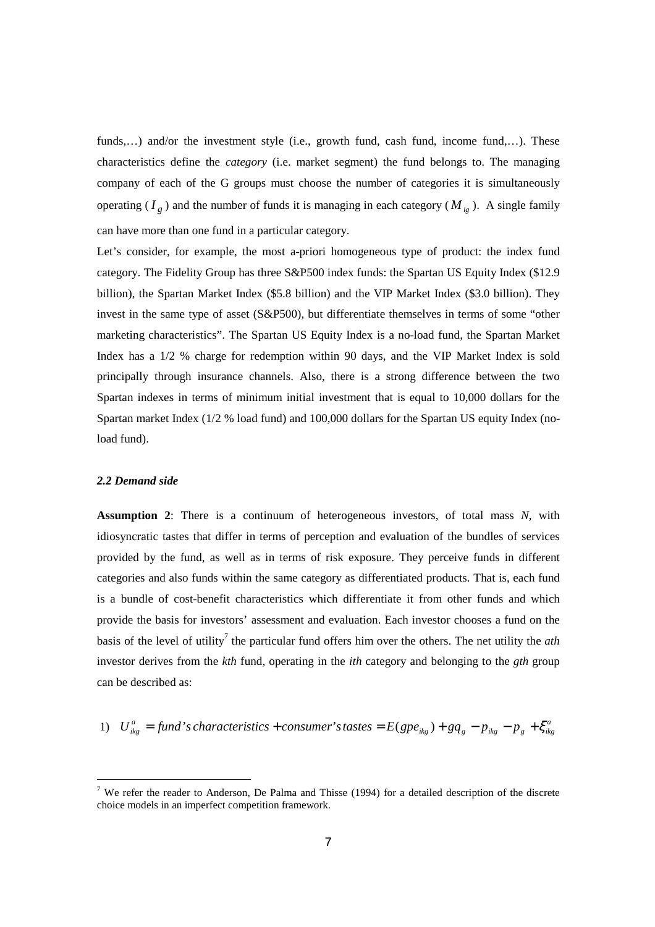funds,...) and/or the investment style (i.e., growth fund, cash fund, income fund,...). These characteristics define the *category* (i.e. market segment) the fund belongs to. The managing company of each of the G groups must choose the number of categories it is simultaneously operating  $(I_g)$  and the number of funds it is managing in each category  $(M_{ig})$ . A single family can have more than one fund in a particular category.

Let's consider, for example, the most a-priori homogeneous type of product: the index fund category. The Fidelity Group has three S&P500 index funds: the Spartan US Equity Index (\$12.9 billion), the Spartan Market Index (\$5.8 billion) and the VIP Market Index (\$3.0 billion). They invest in the same type of asset (S&P500), but differentiate themselves in terms of some "other marketing characteristics". The Spartan US Equity Index is a no-load fund, the Spartan Market Index has a 1/2 % charge for redemption within 90 days, and the VIP Market Index is sold principally through insurance channels. Also, there is a strong difference between the two Spartan indexes in terms of minimum initial investment that is equal to 10,000 dollars for the Spartan market Index (1/2 % load fund) and 100,000 dollars for the Spartan US equity Index (noload fund).

## *2.2 Demand side*

 $\overline{\phantom{0}}$ 

**Assumption 2**: There is a continuum of heterogeneous investors, of total mass *N*, with idiosyncratic tastes that differ in terms of perception and evaluation of the bundles of services provided by the fund, as well as in terms of risk exposure. They perceive funds in different categories and also funds within the same category as differentiated products. That is, each fund is a bundle of cost-benefit characteristics which differentiate it from other funds and which provide the basis for investors' assessment and evaluation. Each investor chooses a fund on the basis of the level of utility<sup>7</sup> the particular fund offers him over the others. The net utility the  $\alpha$ th investor derives from the *kth* fund, operating in the *ith* category and belonging to the *gth* group can be described as:

1) 
$$
U_{ikg}^a = \text{fund's characteristics} + \text{cosumer's tastes} = E(\text{gpe}_{ikg}) + \text{gq}_g - \text{p}_{ikg} - \text{p}_g + \xi_{ikg}^a
$$

<sup>&</sup>lt;sup>7</sup> We refer the reader to Anderson, De Palma and Thisse (1994) for a detailed description of the discrete choice models in an imperfect competition framework.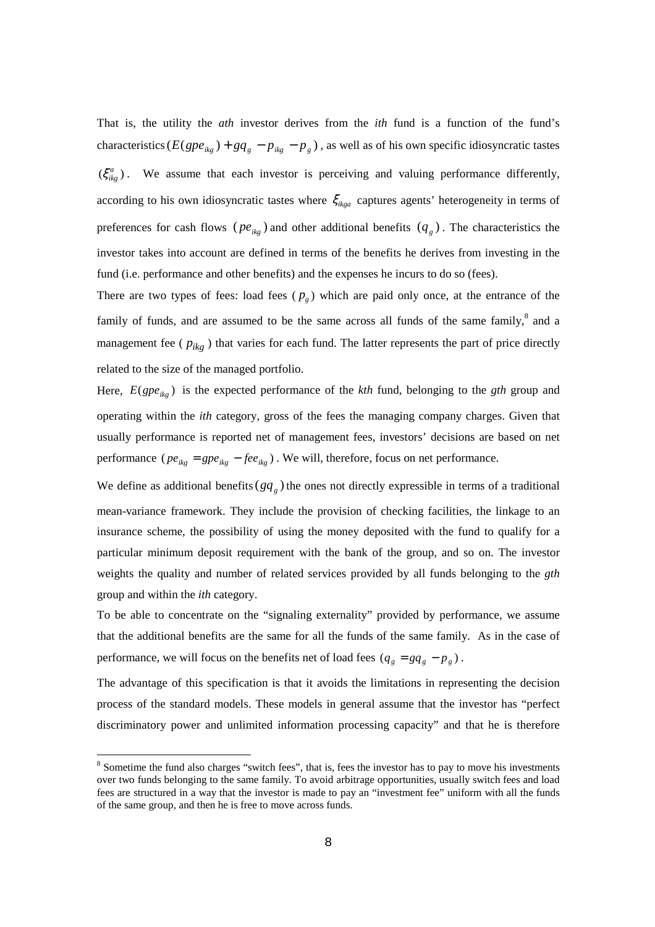That is, the utility the *ath* investor derives from the *ith* fund is a function of the fund's characteristics ( $E(gpe_{ikg}) + gq_{g} - p_{ikg} - p_{g}$ ), as well as of his own specific idiosyncratic tastes  $(\xi_{\substack{i}}^a)$ . We assume that each investor is perceiving and valuing performance differently, according to his own idiosyncratic tastes where  $\xi_{i k q q}$  captures agents' heterogeneity in terms of preferences for cash flows ( $pe_{ikg}$ ) and other additional benefits ( $q_g$ ). The characteristics the investor takes into account are defined in terms of the benefits he derives from investing in the fund (i.e. performance and other benefits) and the expenses he incurs to do so (fees).

There are two types of fees: load fees  $(p<sub>g</sub>)$  which are paid only once, at the entrance of the family of funds, and are assumed to be the same across all funds of the same family, $^8$  and a management fee ( *pikg* ) that varies for each fund. The latter represents the part of price directly related to the size of the managed portfolio.

Here,  $E(gpe_{ik}$ ) is the expected performance of the *kth* fund, belonging to the *gth* group and operating within the *ith* category, gross of the fees the managing company charges. Given that usually performance is reported net of management fees, investors' decisions are based on net performance ( $pe_{ikg} = gpe_{ikg} - fee_{ikg}$ ). We will, therefore, focus on net performance.

We define as additional benefits( $gq_g$ ) the ones not directly expressible in terms of a traditional mean-variance framework. They include the provision of checking facilities, the linkage to an insurance scheme, the possibility of using the money deposited with the fund to qualify for a particular minimum deposit requirement with the bank of the group, and so on. The investor weights the quality and number of related services provided by all funds belonging to the *gth* group and within the *ith* category.

To be able to concentrate on the "signaling externality" provided by performance, we assume that the additional benefits are the same for all the funds of the same family. As in the case of performance, we will focus on the benefits net of load fees  $(q_g = gq_g - p_g)$ .

The advantage of this specification is that it avoids the limitations in representing the decision process of the standard models. These models in general assume that the investor has "perfect discriminatory power and unlimited information processing capacity" and that he is therefore

 $\equiv$ 

<sup>&</sup>lt;sup>8</sup> Sometime the fund also charges "switch fees", that is, fees the investor has to pay to move his investments over two funds belonging to the same family. To avoid arbitrage opportunities, usually switch fees and load fees are structured in a way that the investor is made to pay an "investment fee" uniform with all the funds of the same group, and then he is free to move across funds.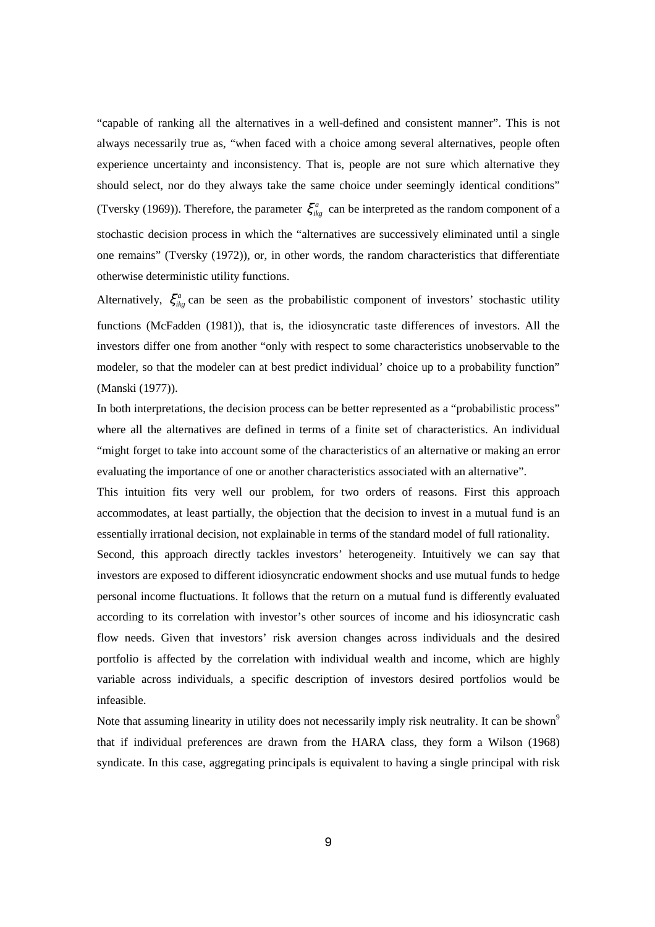"capable of ranking all the alternatives in a well-defined and consistent manner". This is not always necessarily true as, "when faced with a choice among several alternatives, people often experience uncertainty and inconsistency. That is, people are not sure which alternative they should select, nor do they always take the same choice under seemingly identical conditions" (Tversky (1969)). Therefore, the parameter  $\xi_{ikg}^a$  can be interpreted as the random component of a stochastic decision process in which the "alternatives are successively eliminated until a single one remains" (Tversky (1972)), or, in other words, the random characteristics that differentiate otherwise deterministic utility functions.

Alternatively,  $\xi_{ikg}^a$  can be seen as the probabilistic component of investors' stochastic utility functions (McFadden (1981)), that is, the idiosyncratic taste differences of investors. All the investors differ one from another "only with respect to some characteristics unobservable to the modeler, so that the modeler can at best predict individual' choice up to a probability function" (Manski (1977)).

In both interpretations, the decision process can be better represented as a "probabilistic process" where all the alternatives are defined in terms of a finite set of characteristics. An individual "might forget to take into account some of the characteristics of an alternative or making an error evaluating the importance of one or another characteristics associated with an alternative".

This intuition fits very well our problem, for two orders of reasons. First this approach accommodates, at least partially, the objection that the decision to invest in a mutual fund is an essentially irrational decision, not explainable in terms of the standard model of full rationality.

Second, this approach directly tackles investors' heterogeneity. Intuitively we can say that investors are exposed to different idiosyncratic endowment shocks and use mutual funds to hedge personal income fluctuations. It follows that the return on a mutual fund is differently evaluated according to its correlation with investor's other sources of income and his idiosyncratic cash flow needs. Given that investors' risk aversion changes across individuals and the desired portfolio is affected by the correlation with individual wealth and income, which are highly variable across individuals, a specific description of investors desired portfolios would be infeasible.

Note that assuming linearity in utility does not necessarily imply risk neutrality. It can be shown<sup>9</sup> that if individual preferences are drawn from the HARA class, they form a Wilson (1968) syndicate. In this case, aggregating principals is equivalent to having a single principal with risk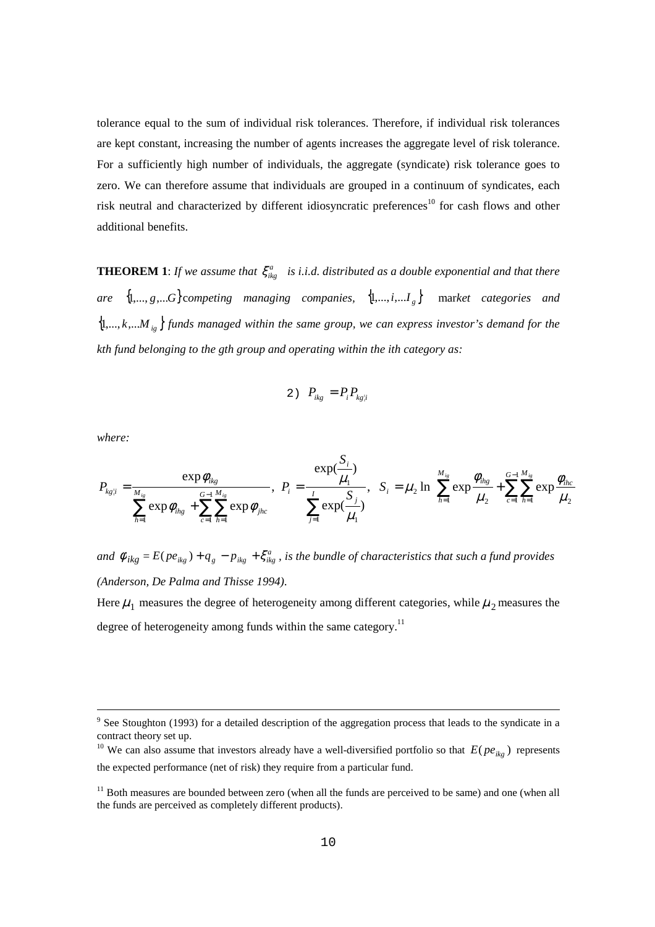tolerance equal to the sum of individual risk tolerances. Therefore, if individual risk tolerances are kept constant, increasing the number of agents increases the aggregate level of risk tolerance. For a sufficiently high number of individuals, the aggregate (syndicate) risk tolerance goes to zero. We can therefore assume that individuals are grouped in a continuum of syndicates, each risk neutral and characterized by different idiosyncratic preferences<sup>10</sup> for cash flows and other additional benefits.

**THEOREM 1**: *If we assume that*  $\xi_{ikg}^a$  *is i.i.d. distributed as a double exponential and that there are*  $\{1, ..., g, ...\}$  competing managing companies,  $\{1, ..., i, ...\}$  market categories and  $\{1,\ldots,k,\ldots M_{ig}\}$  funds managed within the same group, we can express investor's demand for the *kth fund belonging to the gth group and operating within the ith category as:* 

$$
2) \quad P_{ikg} = P_i P_{kg|i}
$$

*where:* 

i

$$
P_{kgli} = \frac{\exp \phi_{ikg}}{\sum_{h=1}^{M_{ik}} \exp \phi_{ihg} + \sum_{c=1}^{G-1} \sum_{h=1}^{M_{ik}} \exp \phi_{jhc}}, \quad P_i = \frac{\exp(\frac{S_i}{\mu_1})}{\sum_{j=1}^{I} \exp(\frac{S_j}{\mu_1})}, \quad S_i = \mu_2 \ln \left\{ \sum_{h=1}^{M_{ik}} \exp \frac{\phi_{ihg}}{\mu_2} + \sum_{c=1}^{G-1} \sum_{h=1}^{M_{ik}} \exp \frac{\phi_{ihc}}{\mu_2} \right\}
$$

*S*

*and*  $\phi_{ikg} = E(pe_{ikg}) + q_g - p_{ikg} + \xi_{ikg}^a$ , is the bundle of characteristics that such a fund provides *(Anderson, De Palma and Thisse 1994)*.

Here  $\mu_1$  measures the degree of heterogeneity among different categories, while  $\mu_2$  measures the degree of heterogeneity among funds within the same category.<sup>11</sup>

<sup>&</sup>lt;sup>9</sup> See Stoughton (1993) for a detailed description of the aggregation process that leads to the syndicate in a contract theory set up.

<sup>&</sup>lt;sup>10</sup> We can also assume that investors already have a well-diversified portfolio so that  $E( p e_{ikg} )$  represents the expected performance (net of risk) they require from a particular fund.

<sup>&</sup>lt;sup>11</sup> Both measures are bounded between zero (when all the funds are perceived to be same) and one (when all the funds are perceived as completely different products).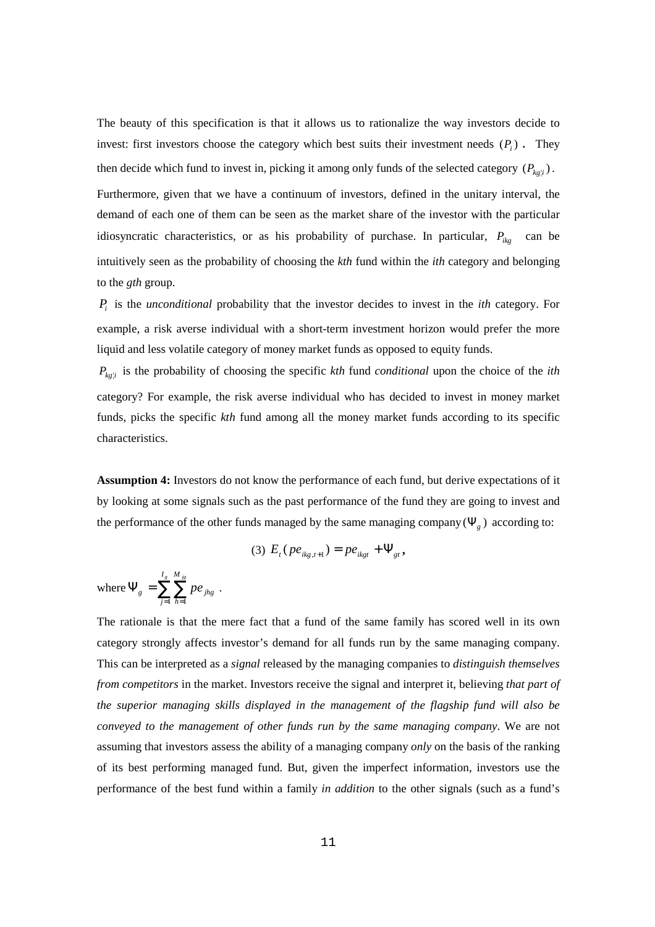The beauty of this specification is that it allows us to rationalize the way investors decide to invest: first investors choose the category which best suits their investment needs  $(P_i)$ . They then decide which fund to invest in, picking it among only funds of the selected category  $(P_{kgli})$ .

Furthermore, given that we have a continuum of investors, defined in the unitary interval, the demand of each one of them can be seen as the market share of the investor with the particular idiosyncratic characteristics, or as his probability of purchase. In particular,  $P_{ikg}$  can be intuitively seen as the probability of choosing the *kth* fund within the *ith* category and belonging to the *gth* group.

*Pi* is the *unconditional* probability that the investor decides to invest in the *ith* category. For example, a risk averse individual with a short-term investment horizon would prefer the more liquid and less volatile category of money market funds as opposed to equity funds.

 $P_{kgli}$  is the probability of choosing the specific *kth* fund *conditional* upon the choice of the *ith* category? For example, the risk averse individual who has decided to invest in money market funds, picks the specific *kth* fund among all the money market funds according to its specific characteristics.

**Assumption 4:** Investors do not know the performance of each fund, but derive expectations of it by looking at some signals such as the past performance of the fund they are going to invest and the performance of the other funds managed by the same managing company ( $\Psi$ <sub>*g*</sub>) according to:

(3) 
$$
E_t (pe_{ikg,t+1}) = pe_{ikgt} + \Psi_{gt}
$$
,

where 
$$
\Psi_{g} = \sum_{j=1}^{I_{g}} \sum_{h=1}^{M_{jg}} p e_{jhg}
$$
.

The rationale is that the mere fact that a fund of the same family has scored well in its own category strongly affects investor's demand for all funds run by the same managing company. This can be interpreted as a *signal* released by the managing companies to *distinguish themselves from competitors* in the market. Investors receive the signal and interpret it, believing *that part of the superior managing skills displayed in the management of the flagship fund will also be conveyed to the management of other funds run by the same managing company*. We are not assuming that investors assess the ability of a managing company *only* on the basis of the ranking of its best performing managed fund. But, given the imperfect information, investors use the performance of the best fund within a family *in addition* to the other signals (such as a fund's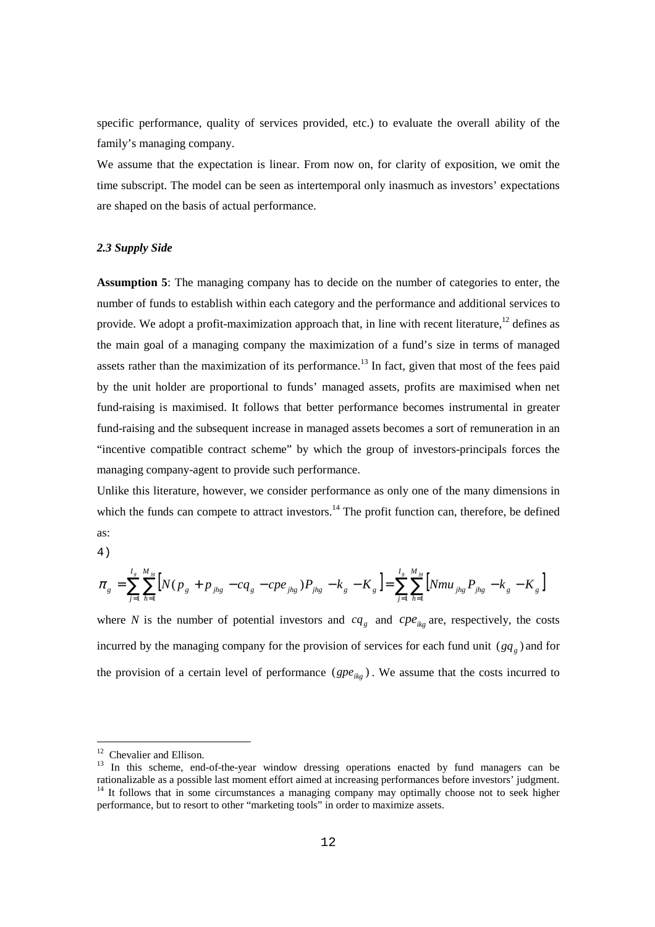specific performance, quality of services provided, etc.) to evaluate the overall ability of the family's managing company.

We assume that the expectation is linear. From now on, for clarity of exposition, we omit the time subscript. The model can be seen as intertemporal only inasmuch as investors' expectations are shaped on the basis of actual performance.

## *2.3 Supply Side*

**Assumption 5**: The managing company has to decide on the number of categories to enter, the number of funds to establish within each category and the performance and additional services to provide. We adopt a profit-maximization approach that, in line with recent literature,<sup>12</sup> defines as the main goal of a managing company the maximization of a fund's size in terms of managed assets rather than the maximization of its performance.<sup>13</sup> In fact, given that most of the fees paid by the unit holder are proportional to funds' managed assets, profits are maximised when net fund-raising is maximised. It follows that better performance becomes instrumental in greater fund-raising and the subsequent increase in managed assets becomes a sort of remuneration in an "incentive compatible contract scheme" by which the group of investors-principals forces the managing company-agent to provide such performance.

Unlike this literature, however, we consider performance as only one of the many dimensions in which the funds can compete to attract investors.<sup>14</sup> The profit function can, therefore, be defined as:

4)

-

$$
\pi_{g} = \sum_{j=1}^{I_{g}} \sum_{h=1}^{M_{j_{g}}} \left[ N(p_{g} + p_{j_{hg}} - cq_{g} - cpe_{j_{hg}}) P_{j_{hg}} - k_{g} - K_{g} \right] = \sum_{j=1}^{I_{g}} \sum_{h=1}^{M_{j_{g}}} \left[ Nmu_{j_{hg}} P_{j_{hg}} - k_{g} - K_{g} \right]
$$

where *N* is the number of potential investors and  $cq<sub>g</sub>$  and  $cpe<sub>ikg</sub>$  are, respectively, the costs incurred by the managing company for the provision of services for each fund unit  $(gq_g)$  and for the provision of a certain level of performance  $(gpe_{ik}$ ). We assume that the costs incurred to

<sup>&</sup>lt;sup>12</sup> Chevalier and Ellison.

<sup>&</sup>lt;sup>13</sup> In this scheme, end-of-the-year window dressing operations enacted by fund managers can be rationalizable as a possible last moment effort aimed at increasing performances before investors' judgment.  $14$  It follows that in some circumstances a managing company may optimally choose not to seek higher performance, but to resort to other "marketing tools" in order to maximize assets.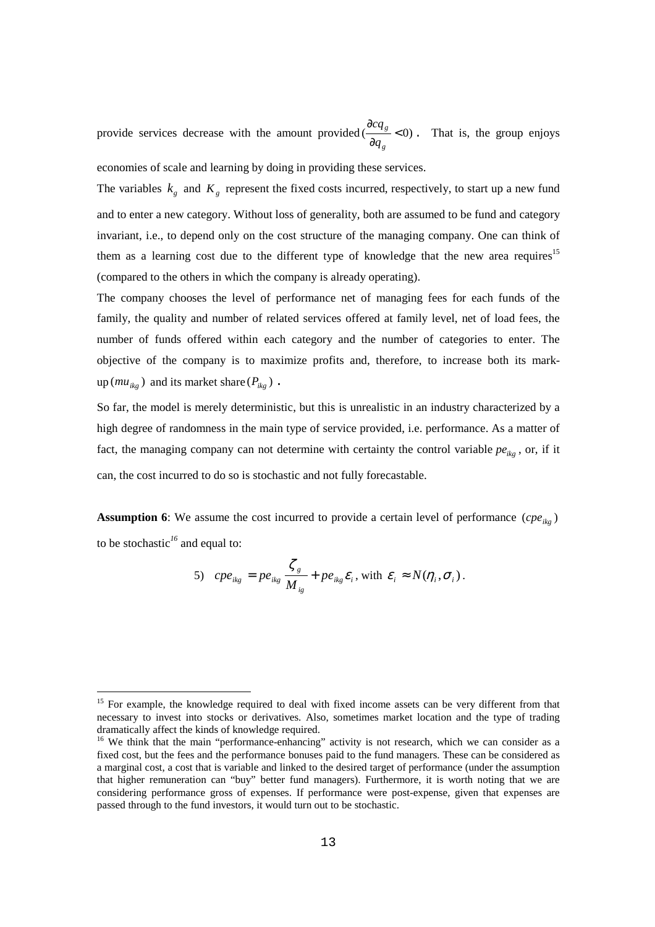provide services decrease with the amount provided ( $\frac{v}{\partial q_g}$  < 0) ∂ *g g q*  $\frac{cq_g}{dr}$  < 0). That is, the group enjoys economies of scale and learning by doing in providing these services.

The variables  $k_g$  and  $K_g$  represent the fixed costs incurred, respectively, to start up a new fund and to enter a new category. Without loss of generality, both are assumed to be fund and category invariant, i.e., to depend only on the cost structure of the managing company. One can think of them as a learning cost due to the different type of knowledge that the new area requires<sup>15</sup> (compared to the others in which the company is already operating).

The company chooses the level of performance net of managing fees for each funds of the family, the quality and number of related services offered at family level, net of load fees, the number of funds offered within each category and the number of categories to enter. The objective of the company is to maximize profits and, therefore, to increase both its mark- $\text{up}(mu_{ikg})$  and its market share ( $P_{ikg}$ ).

So far, the model is merely deterministic, but this is unrealistic in an industry characterized by a high degree of randomness in the main type of service provided, i.e. performance. As a matter of fact, the managing company can not determine with certainty the control variable  $pe_{ikg}$ , or, if it can, the cost incurred to do so is stochastic and not fully forecastable.

**Assumption 6:** We assume the cost incurred to provide a certain level of performance  $( cpe_{ikg} )$ to be stochastic*<sup>16</sup>* and equal to:

5) 
$$
ope_{ikg} = pe_{ikg} \frac{\zeta_g}{M_{ig}} + pe_{ikg} \varepsilon_i
$$
, with  $\varepsilon_i \approx N(\eta_i, \sigma_i)$ .

L,

<sup>&</sup>lt;sup>15</sup> For example, the knowledge required to deal with fixed income assets can be very different from that necessary to invest into stocks or derivatives. Also, sometimes market location and the type of trading dramatically affect the kinds of knowledge required.

<sup>&</sup>lt;sup>16</sup> We think that the main "performance-enhancing" activity is not research, which we can consider as a fixed cost, but the fees and the performance bonuses paid to the fund managers. These can be considered as a marginal cost, a cost that is variable and linked to the desired target of performance (under the assumption that higher remuneration can "buy" better fund managers). Furthermore, it is worth noting that we are considering performance gross of expenses. If performance were post-expense, given that expenses are passed through to the fund investors, it would turn out to be stochastic.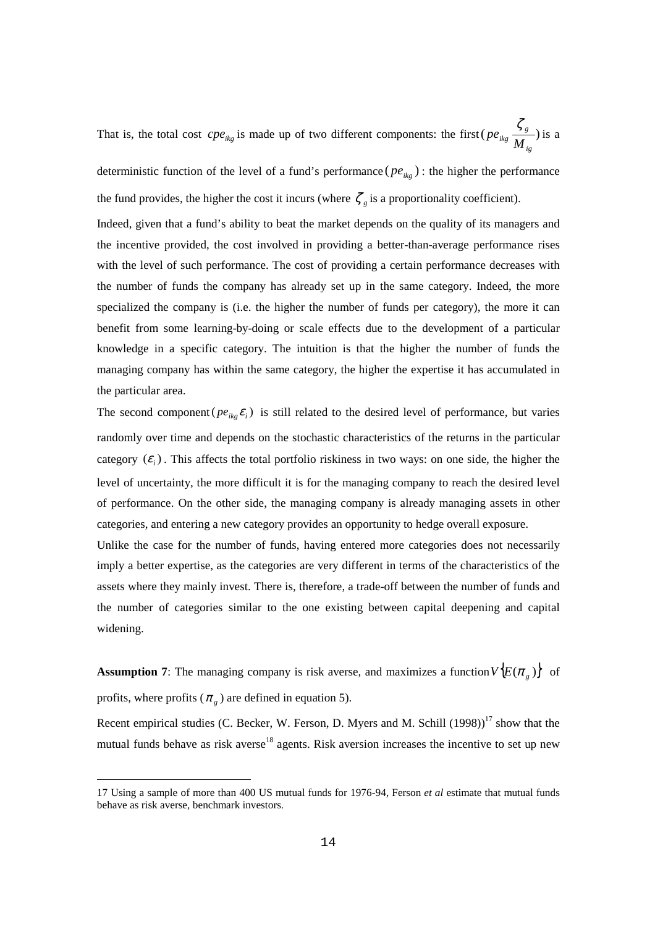That is, the total cost  $cpe_{ikg}$  is made up of two different components: the first ( $pe_{ikg} \frac{5g}{M_{io}}$ ) *ig*  $\frac{\zeta_g}{\zeta}$ ) is a

deterministic function of the level of a fund's performance ( $pe_{ikg}$ ): the higher the performance the fund provides, the higher the cost it incurs (where  $\zeta$ <sub>e</sub> is a proportionality coefficient).

Indeed, given that a fund's ability to beat the market depends on the quality of its managers and the incentive provided, the cost involved in providing a better-than-average performance rises with the level of such performance. The cost of providing a certain performance decreases with the number of funds the company has already set up in the same category. Indeed, the more specialized the company is (i.e. the higher the number of funds per category), the more it can benefit from some learning-by-doing or scale effects due to the development of a particular knowledge in a specific category. The intuition is that the higher the number of funds the managing company has within the same category, the higher the expertise it has accumulated in the particular area.

The second component ( $pe_{ik}e_i$ ) is still related to the desired level of performance, but varies randomly over time and depends on the stochastic characteristics of the returns in the particular category  $(\mathcal{E}_i)$ . This affects the total portfolio riskiness in two ways: on one side, the higher the level of uncertainty, the more difficult it is for the managing company to reach the desired level of performance. On the other side, the managing company is already managing assets in other categories, and entering a new category provides an opportunity to hedge overall exposure.

Unlike the case for the number of funds, having entered more categories does not necessarily imply a better expertise, as the categories are very different in terms of the characteristics of the assets where they mainly invest. There is, therefore, a trade-off between the number of funds and the number of categories similar to the one existing between capital deepening and capital widening.

**Assumption 7:** The managing company is risk averse, and maximizes a function  $V(E(\pi_{g}))$  of profits, where profits ( $\pi$ <sub>*g*</sub>) are defined in equation 5).

Recent empirical studies (C. Becker, W. Ferson, D. Myers and M. Schill  $(1998)^{17}$  show that the mutual funds behave as risk averse<sup>18</sup> agents. Risk aversion increases the incentive to set up new

 $\overline{\phantom{0}}$ 

<sup>17</sup> Using a sample of more than 400 US mutual funds for 1976-94, Ferson *et al* estimate that mutual funds behave as risk averse, benchmark investors.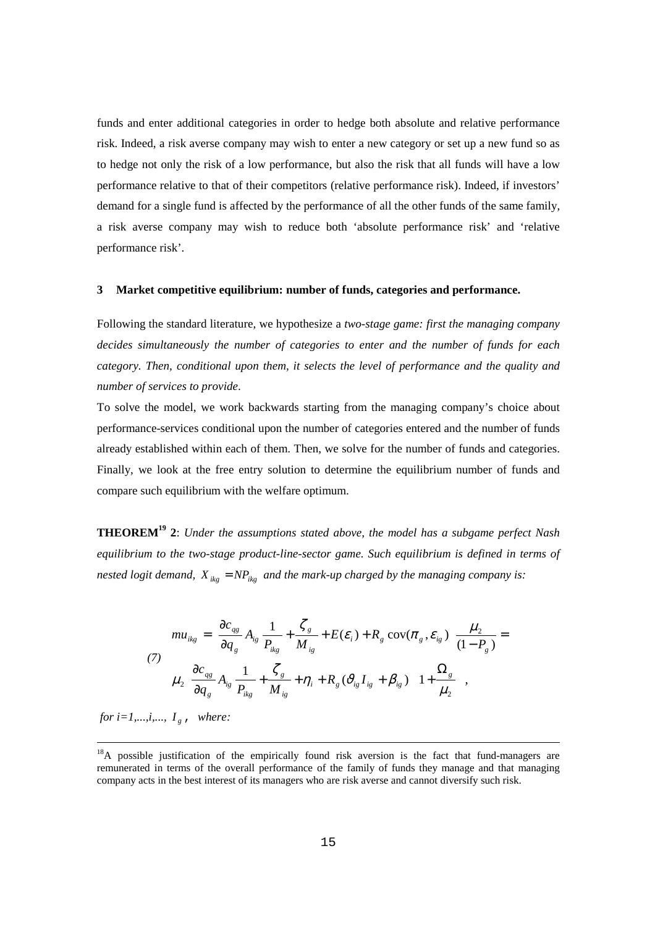funds and enter additional categories in order to hedge both absolute and relative performance risk. Indeed, a risk averse company may wish to enter a new category or set up a new fund so as to hedge not only the risk of a low performance, but also the risk that all funds will have a low performance relative to that of their competitors (relative performance risk). Indeed, if investors' demand for a single fund is affected by the performance of all the other funds of the same family, a risk averse company may wish to reduce both 'absolute performance risk' and 'relative performance risk'.

#### **3 Market competitive equilibrium: number of funds, categories and performance.**

Following the standard literature, we hypothesize a *two-stage game: first the managing company decides simultaneously the number of categories to enter and the number of funds for each category. Then, conditional upon them, it selects the level of performance and the quality and number of services to provide*.

To solve the model, we work backwards starting from the managing company's choice about performance-services conditional upon the number of categories entered and the number of funds already established within each of them. Then, we solve for the number of funds and categories. Finally, we look at the free entry solution to determine the equilibrium number of funds and compare such equilibrium with the welfare optimum.

**THEOREM19 2**: *Under the assumptions stated above, the model has a subgame perfect Nash equilibrium to the two-stage product-line-sector game. Such equilibrium is defined in terms of nested logit demand,*  $X_{ikg} = NP_{ikg}$  *and the mark-up charged by the managing company is:* 

$$
mu_{ikg} = \left[ \frac{\partial c_{qs}}{\partial q_g} A_{ig} \frac{1}{P_{ikg}} + \frac{\zeta_g}{M_{ig}} + E(\varepsilon_i) + R_g \operatorname{cov}(\pi_g, \varepsilon_{ig}) \right] \frac{\mu_2}{(1 - P_g)} =
$$
  
\n
$$
\mu_2 \left[ \frac{\partial c_{gg}}{\partial q_g} A_{ig} \frac{1}{P_{ikg}} + \frac{\zeta_g}{M_{ig}} + \eta_i + R_g (\partial_{ig} I_{ig} + \beta_{ig}) \right] \left[ 1 + \frac{\Omega_g}{\mu_2} \right],
$$

*for i=1,...,i,...,*  $I_g$ , where:

i<br>I

 $18A$  possible justification of the empirically found risk aversion is the fact that fund-managers are remunerated in terms of the overall performance of the family of funds they manage and that managing company acts in the best interest of its managers who are risk averse and cannot diversify such risk.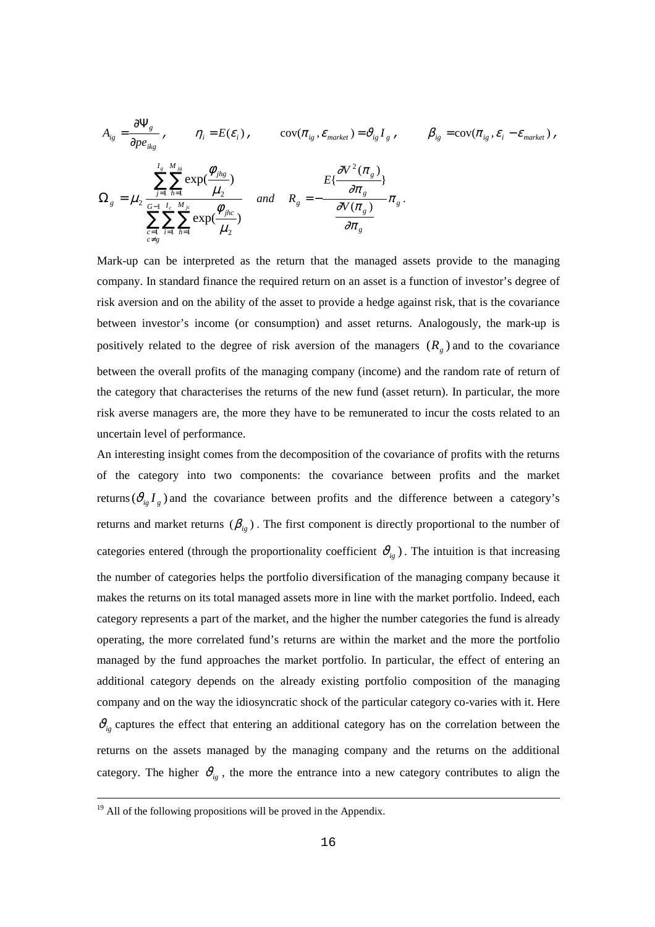$$
A_{ig} = \frac{\partial \Psi_{g}}{\partial pe_{ikg}} , \qquad \eta_{i} = E(\varepsilon_{i}) , \qquad \text{cov}(\pi_{ig}, \varepsilon_{market}) = \vartheta_{ig} I_{g} , \qquad \beta_{ig} = \text{cov}(\pi_{ig}, \varepsilon_{i} - \varepsilon_{market}) ,
$$

$$
\Omega_{g} = \mu_{2} \frac{\sum_{j=1}^{I_{g}} \sum_{h=1}^{M_{j_{g}}} \exp(\frac{\phi_{jhg}}{\mu_{2}})}{\sum_{\substack{c=1 \ c \neq g}}^{G-1} \sum_{h=1}^{I_{c}} \sum_{h=1}^{M_{j_{c}}} \exp(\frac{\phi_{jhc}}{\mu_{2}})} \qquad \text{and} \quad R_{g} = -\frac{\partial V^{2}(\pi_{g})}{\partial \pi_{g}} \pi_{g} .
$$

Mark-up can be interpreted as the return that the managed assets provide to the managing company. In standard finance the required return on an asset is a function of investor's degree of risk aversion and on the ability of the asset to provide a hedge against risk, that is the covariance between investor's income (or consumption) and asset returns. Analogously, the mark-up is positively related to the degree of risk aversion of the managers  $(R_g)$  and to the covariance between the overall profits of the managing company (income) and the random rate of return of the category that characterises the returns of the new fund (asset return). In particular, the more risk averse managers are, the more they have to be remunerated to incur the costs related to an uncertain level of performance.

An interesting insight comes from the decomposition of the covariance of profits with the returns of the category into two components: the covariance between profits and the market returns  $(\vartheta_{i} I_{\varrho})$  and the covariance between profits and the difference between a category's returns and market returns  $(\beta_{ig})$ . The first component is directly proportional to the number of categories entered (through the proportionality coefficient  $\vartheta_{i}$ ). The intuition is that increasing the number of categories helps the portfolio diversification of the managing company because it makes the returns on its total managed assets more in line with the market portfolio. Indeed, each category represents a part of the market, and the higher the number categories the fund is already operating, the more correlated fund's returns are within the market and the more the portfolio managed by the fund approaches the market portfolio. In particular, the effect of entering an additional category depends on the already existing portfolio composition of the managing company and on the way the idiosyncratic shock of the particular category co-varies with it. Here  $\mathcal{v}_{i}$  captures the effect that entering an additional category has on the correlation between the returns on the assets managed by the managing company and the returns on the additional category. The higher  $\theta_{ig}$ , the more the entrance into a new category contributes to align the

Ξ

 $19$  All of the following propositions will be proved in the Appendix.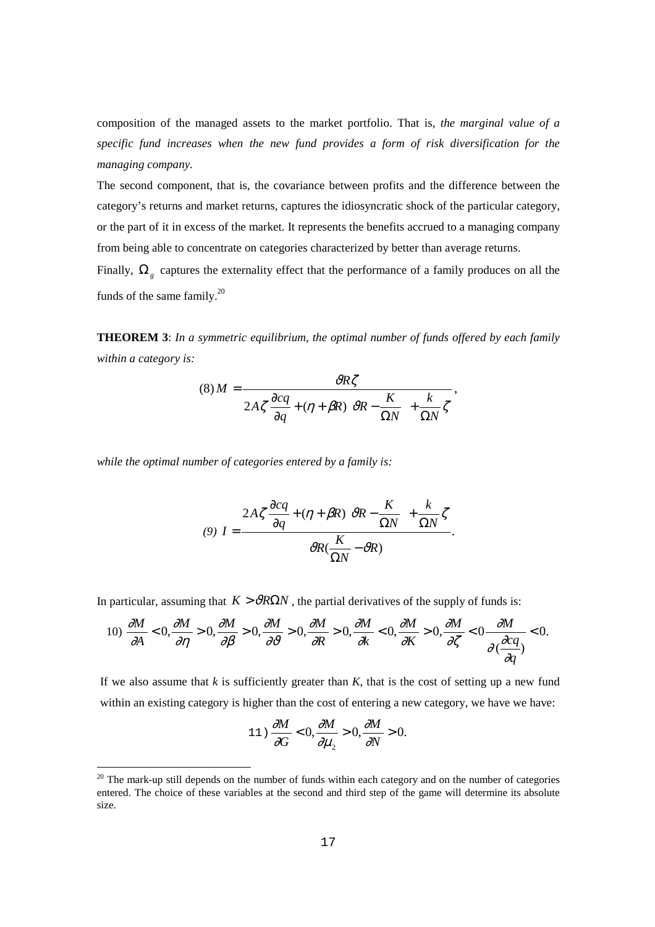composition of the managed assets to the market portfolio. That is, *the marginal value of a specific fund increases when the new fund provides a form of risk diversification for the managing company.* 

The second component, that is, the covariance between profits and the difference between the category's returns and market returns, captures the idiosyncratic shock of the particular category, or the part of it in excess of the market. It represents the benefits accrued to a managing company from being able to concentrate on categories characterized by better than average returns.

Finally,  $\Omega$ <sub>g</sub> captures the externality effect that the performance of a family produces on all the funds of the same family. $^{20}$ 

**THEOREM 3**: *In a symmetric equilibrium, the optimal number of funds offered by each family within a category is:* 

$$
(8) M = \frac{\partial R\zeta}{2A\zeta \frac{\partial cq}{\partial q} + (\eta + \beta R) \left[\partial R - \frac{K}{\Omega N}\right] + \frac{k}{\Omega N}\zeta},
$$

*while the optimal number of categories entered by a family is:* 

L,

$$
(9) I = \frac{2A\zeta \frac{\partial cq}{\partial q} + (\eta + \beta R) \left[\vartheta R - \frac{K}{\Omega N}\right] + \frac{k}{\Omega N} \zeta}{\vartheta R(\frac{K}{\Omega N} - \vartheta R)}.
$$

In particular, assuming that  $K > \theta R\Omega N$ , the partial derivatives of the supply of funds is:

$$
10) \frac{\partial M}{\partial A} < 0, \frac{\partial M}{\partial \eta} > 0, \frac{\partial M}{\partial \beta} > 0, \frac{\partial M}{\partial \theta} > 0, \frac{\partial M}{\partial R} > 0, \frac{\partial M}{\partial k} < 0, \frac{\partial M}{\partial K} > 0, \frac{\partial M}{\partial \zeta} < 0 \frac{\partial M}{\partial \left(\frac{\partial c q}{\partial q}\right)} < 0.
$$

If we also assume that  $k$  is sufficiently greater than  $K$ , that is the cost of setting up a new fund within an existing category is higher than the cost of entering a new category, we have we have:

$$
11) \frac{\partial M}{\partial G} < 0, \frac{\partial M}{\partial \mu_2} > 0, \frac{\partial M}{\partial N} > 0.
$$

 $20$  The mark-up still depends on the number of funds within each category and on the number of categories entered. The choice of these variables at the second and third step of the game will determine its absolute size.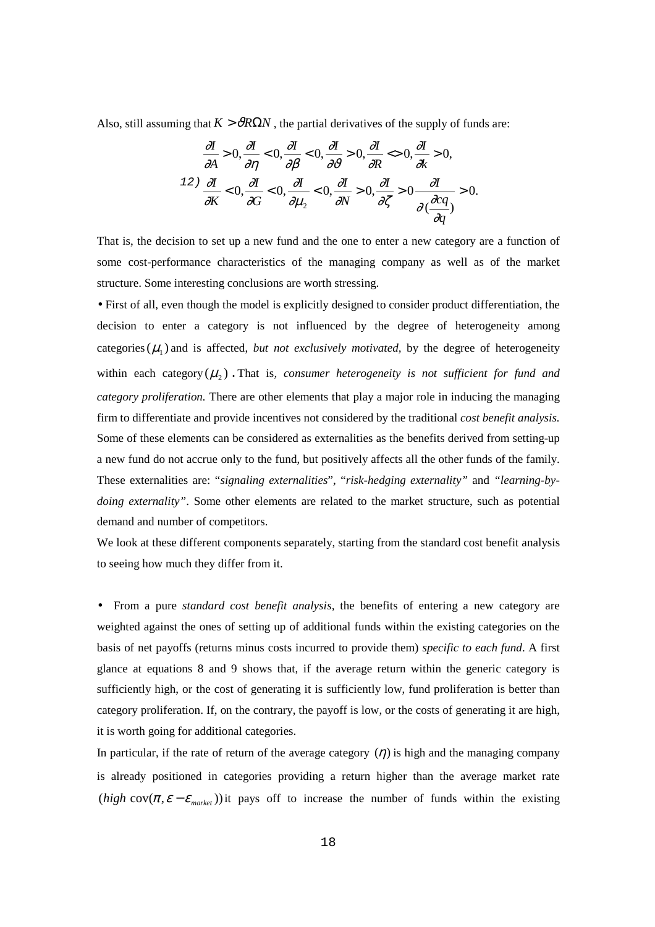Also, still assuming that  $K > \partial R\Omega N$ , the partial derivatives of the supply of funds are:

$$
\frac{\partial I}{\partial A} > 0, \frac{\partial I}{\partial \eta} < 0, \frac{\partial I}{\partial \beta} < 0, \frac{\partial I}{\partial \theta} > 0, \frac{\partial I}{\partial R} < 0, \frac{\partial I}{\partial k} > 0,
$$
  

$$
\frac{12}{\partial K} < 0, \frac{\partial I}{\partial G} < 0, \frac{\partial I}{\partial \mu_2} < 0, \frac{\partial I}{\partial N} > 0, \frac{\partial I}{\partial \zeta} > 0 \frac{\partial I}{\partial (\frac{\partial c q}{\partial q})} > 0.
$$

That is, the decision to set up a new fund and the one to enter a new category are a function of some cost-performance characteristics of the managing company as well as of the market structure. Some interesting conclusions are worth stressing.

• First of all, even though the model is explicitly designed to consider product differentiation, the decision to enter a category is not influenced by the degree of heterogeneity among categories  $(\mu_i)$  and is affected, *but not exclusively motivated*, by the degree of heterogeneity within each category  $(\mu_{\gamma})$ . That is, consumer heterogeneity is not sufficient for fund and *category proliferation.* There are other elements that play a major role in inducing the managing firm to differentiate and provide incentives not considered by the traditional *cost benefit analysis.*  Some of these elements can be considered as externalities as the benefits derived from setting-up a new fund do not accrue only to the fund, but positively affects all the other funds of the family. These externalities are: "*signaling externalities*", "*risk-hedging externality"* and *"learning-bydoing externality"*. Some other elements are related to the market structure, such as potential demand and number of competitors.

We look at these different components separately, starting from the standard cost benefit analysis to seeing how much they differ from it.

• From a pure *standard cost benefit analysis,* the benefits of entering a new category are weighted against the ones of setting up of additional funds within the existing categories on the basis of net payoffs (returns minus costs incurred to provide them) *specific to each fund*. A first glance at equations 8 and 9 shows that, if the average return within the generic category is sufficiently high, or the cost of generating it is sufficiently low, fund proliferation is better than category proliferation. If, on the contrary, the payoff is low, or the costs of generating it are high, it is worth going for additional categories.

In particular, if the rate of return of the average category  $(\eta)$  is high and the managing company is already positioned in categories providing a return higher than the average market rate (*high* cov( $\pi$ , $\varepsilon - \varepsilon$ <sub>market</sub>)) it pays off to increase the number of funds within the existing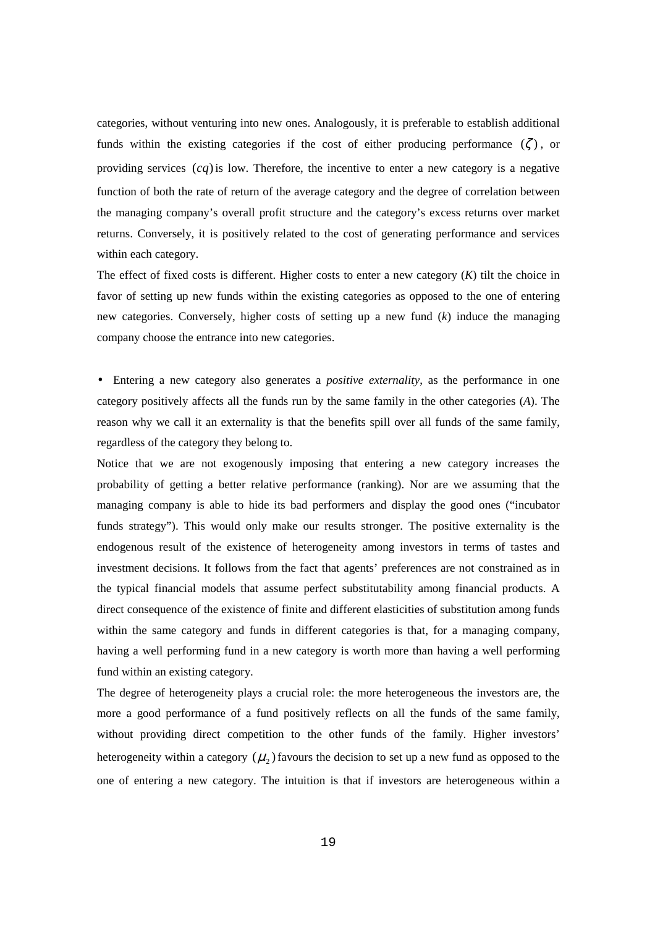categories, without venturing into new ones. Analogously, it is preferable to establish additional funds within the existing categories if the cost of either producing performance  $(\zeta)$ , or providing services  $(cq)$  is low. Therefore, the incentive to enter a new category is a negative function of both the rate of return of the average category and the degree of correlation between the managing company's overall profit structure and the category's excess returns over market returns. Conversely, it is positively related to the cost of generating performance and services within each category.

The effect of fixed costs is different. Higher costs to enter a new category (*K*) tilt the choice in favor of setting up new funds within the existing categories as opposed to the one of entering new categories. Conversely, higher costs of setting up a new fund (*k*) induce the managing company choose the entrance into new categories.

• Entering a new category also generates a *positive externality*, as the performance in one category positively affects all the funds run by the same family in the other categories (*A*). The reason why we call it an externality is that the benefits spill over all funds of the same family, regardless of the category they belong to.

Notice that we are not exogenously imposing that entering a new category increases the probability of getting a better relative performance (ranking). Nor are we assuming that the managing company is able to hide its bad performers and display the good ones ("incubator funds strategy"). This would only make our results stronger. The positive externality is the endogenous result of the existence of heterogeneity among investors in terms of tastes and investment decisions. It follows from the fact that agents' preferences are not constrained as in the typical financial models that assume perfect substitutability among financial products. A direct consequence of the existence of finite and different elasticities of substitution among funds within the same category and funds in different categories is that, for a managing company, having a well performing fund in a new category is worth more than having a well performing fund within an existing category.

The degree of heterogeneity plays a crucial role: the more heterogeneous the investors are, the more a good performance of a fund positively reflects on all the funds of the same family, without providing direct competition to the other funds of the family. Higher investors' heterogeneity within a category  $(\mu_{\nu})$  favours the decision to set up a new fund as opposed to the one of entering a new category. The intuition is that if investors are heterogeneous within a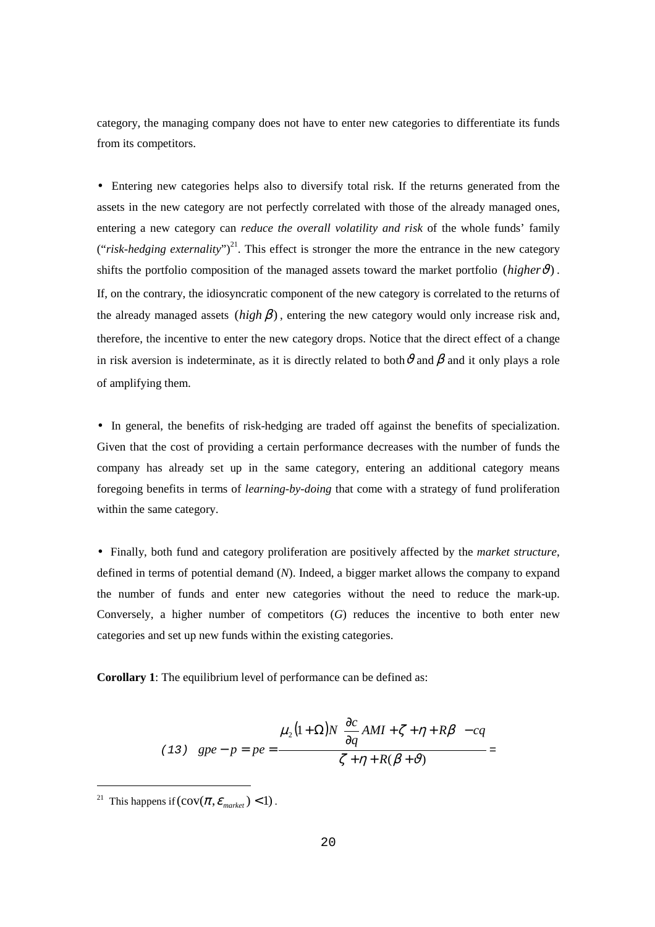category, the managing company does not have to enter new categories to differentiate its funds from its competitors.

• Entering new categories helps also to diversify total risk. If the returns generated from the assets in the new category are not perfectly correlated with those of the already managed ones, entering a new category can *reduce the overall volatility and risk* of the whole funds' family  $("risk-hedging externality")<sup>21</sup>$ . This effect is stronger the more the entrance in the new category shifts the portfolio composition of the managed assets toward the market portfolio ( $higher\vartheta$ ). If, on the contrary, the idiosyncratic component of the new category is correlated to the returns of the already managed assets  $(high \beta)$ , entering the new category would only increase risk and, therefore, the incentive to enter the new category drops. Notice that the direct effect of a change in risk aversion is indeterminate, as it is directly related to both  $\vartheta$  and  $\beta$  and it only plays a role of amplifying them.

• In general, the benefits of risk-hedging are traded off against the benefits of specialization. Given that the cost of providing a certain performance decreases with the number of funds the company has already set up in the same category, entering an additional category means foregoing benefits in terms of *learning-by-doing* that come with a strategy of fund proliferation within the same category.

• Finally, both fund and category proliferation are positively affected by the *market structure*, defined in terms of potential demand (*N*). Indeed, a bigger market allows the company to expand the number of funds and enter new categories without the need to reduce the mark-up. Conversely, a higher number of competitors (*G*) reduces the incentive to both enter new categories and set up new funds within the existing categories.

**Corollary 1**: The equilibrium level of performance can be defined as:

(13) 
$$
gpe - p = pe = \frac{\mu_2 (1 + \Omega) N \left[ \frac{\partial c}{\partial q} AMI + \zeta + \eta + R\beta \right] - cq}{\zeta + \eta + R(\beta + \vartheta)} =
$$

-

<sup>&</sup>lt;sup>21</sup> This happens if  $\left(\text{cov}(\pi, \varepsilon_{\text{market}}) < 1\right)$ .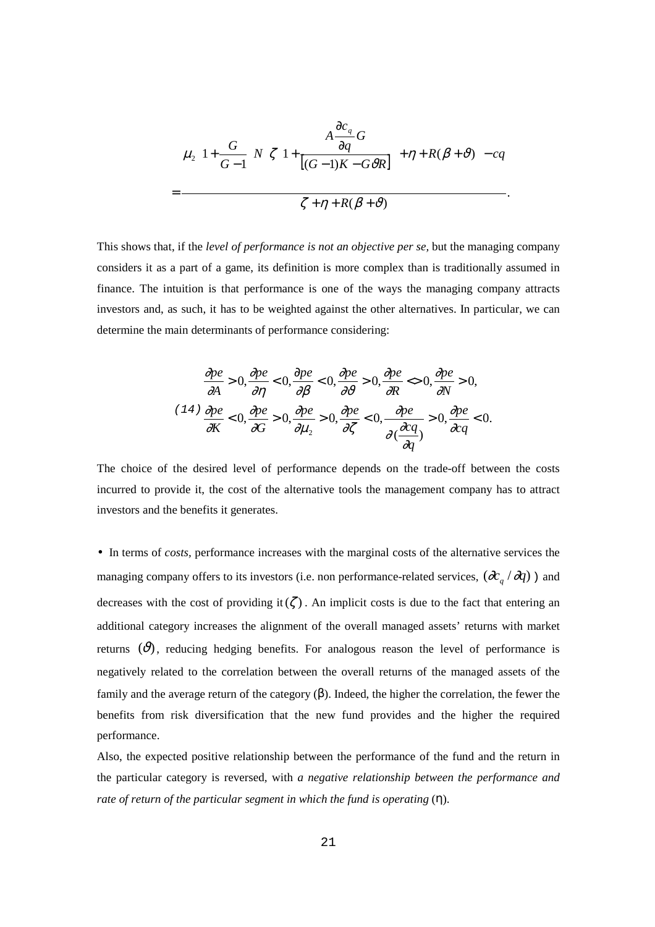$$
\mu_2\left(1+\frac{G}{G-1}\right)N\left[\zeta\left(1+\frac{A\frac{\partial c_q}{\partial q}G}{\left[(G-1)K-G\vartheta R\right]}\right)+\eta+R(\beta+\vartheta)\right]-cq
$$
  
= 
$$
\frac{\zeta+\eta+R(\beta+\vartheta)}{\zeta+\eta+R(\beta+\vartheta)}.
$$

This shows that, if the *level of performance is not an objective per se,* but the managing company considers it as a part of a game, its definition is more complex than is traditionally assumed in finance. The intuition is that performance is one of the ways the managing company attracts investors and, as such, it has to be weighted against the other alternatives. In particular, we can determine the main determinants of performance considering:

$$
\frac{\partial pe}{\partial A} > 0, \frac{\partial pe}{\partial \eta} < 0, \frac{\partial pe}{\partial \beta} < 0, \frac{\partial pe}{\partial \theta} > 0, \frac{\partial pe}{\partial R} < 0, \frac{\partial pe}{\partial N} > 0,
$$
  

$$
\frac{\partial pe}{\partial K} < 0, \frac{\partial pe}{\partial G} > 0, \frac{\partial pe}{\partial \mu_2} > 0, \frac{\partial pe}{\partial \zeta} < 0, \frac{\partial pe}{\partial \zeta} < 0, \frac{\partial pe}{\partial q} > 0, \frac{\partial pe}{\partial q} < 0.
$$

The choice of the desired level of performance depends on the trade-off between the costs incurred to provide it, the cost of the alternative tools the management company has to attract investors and the benefits it generates.

• In terms of *costs,* performance increases with the marginal costs of the alternative services the managing company offers to its investors (i.e. non performance-related services,  $(\partial c_q / \partial q)$ ) and decreases with the cost of providing it( $\zeta$ ). An implicit costs is due to the fact that entering an additional category increases the alignment of the overall managed assets' returns with market returns  $(\vartheta)$ , reducing hedging benefits. For analogous reason the level of performance is negatively related to the correlation between the overall returns of the managed assets of the family and the average return of the category (β). Indeed, the higher the correlation, the fewer the benefits from risk diversification that the new fund provides and the higher the required performance.

Also, the expected positive relationship between the performance of the fund and the return in the particular category is reversed*,* with *a negative relationship between the performance and rate of return of the particular segment in which the fund is operating* (η).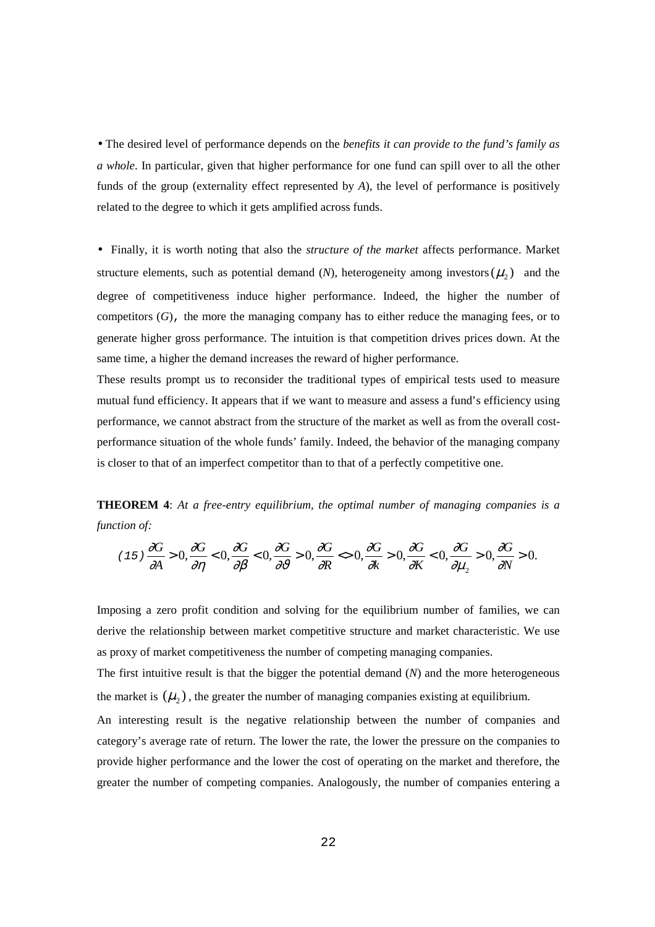• The desired level of performance depends on the *benefits it can provide to the fund's family as a whole*. In particular, given that higher performance for one fund can spill over to all the other funds of the group (externality effect represented by *A*), the level of performance is positively related to the degree to which it gets amplified across funds.

• Finally, it is worth noting that also the *structure of the market* affects performance. Market structure elements, such as potential demand  $(N)$ , heterogeneity among investors  $(\mu_2)$  and the degree of competitiveness induce higher performance. Indeed, the higher the number of competitors (*G*), the more the managing company has to either reduce the managing fees, or to generate higher gross performance. The intuition is that competition drives prices down. At the same time, a higher the demand increases the reward of higher performance.

These results prompt us to reconsider the traditional types of empirical tests used to measure mutual fund efficiency. It appears that if we want to measure and assess a fund's efficiency using performance, we cannot abstract from the structure of the market as well as from the overall costperformance situation of the whole funds' family. Indeed, the behavior of the managing company is closer to that of an imperfect competitor than to that of a perfectly competitive one.

**THEOREM 4**: *At a free-entry equilibrium, the optimal number of managing companies is a function of:* 

$$
(15)\frac{\partial G}{\partial A} > 0, \frac{\partial G}{\partial \eta} < 0, \frac{\partial G}{\partial \beta} < 0, \frac{\partial G}{\partial \vartheta} > 0, \frac{\partial G}{\partial R} < 0, \frac{\partial G}{\partial k} > 0, \frac{\partial G}{\partial K} < 0, \frac{\partial G}{\partial \mu_2} > 0, \frac{\partial G}{\partial N} > 0.
$$

Imposing a zero profit condition and solving for the equilibrium number of families, we can derive the relationship between market competitive structure and market characteristic. We use as proxy of market competitiveness the number of competing managing companies. The first intuitive result is that the bigger the potential demand (*N*) and the more heterogeneous the market is  $(\mu_{2})$ , the greater the number of managing companies existing at equilibrium. An interesting result is the negative relationship between the number of companies and category's average rate of return. The lower the rate, the lower the pressure on the companies to

provide higher performance and the lower the cost of operating on the market and therefore, the greater the number of competing companies. Analogously, the number of companies entering a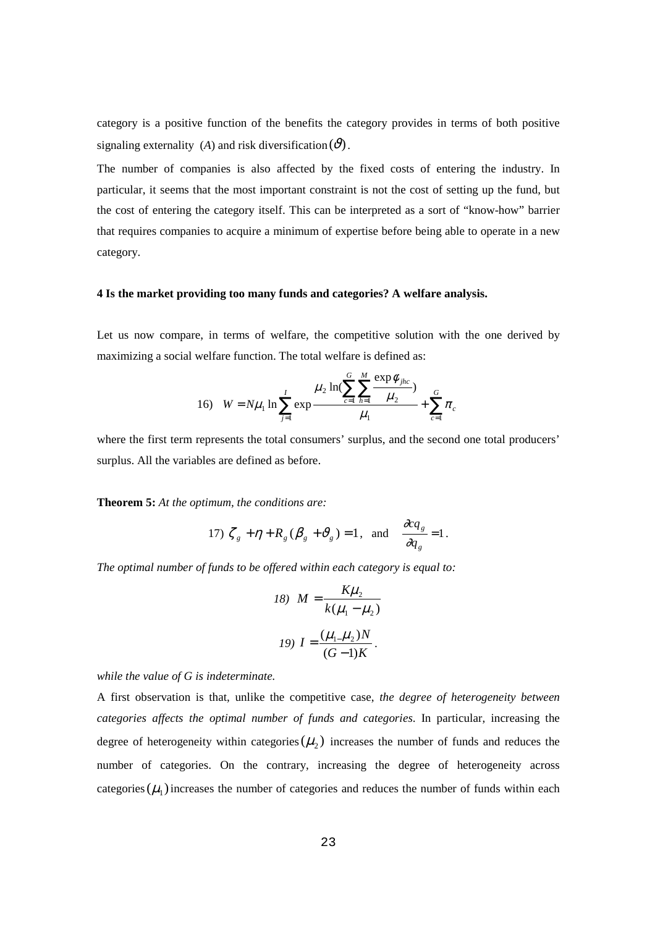category is a positive function of the benefits the category provides in terms of both positive signaling externality (*A*) and risk diversification  $(\vartheta)$ .

The number of companies is also affected by the fixed costs of entering the industry. In particular, it seems that the most important constraint is not the cost of setting up the fund, but the cost of entering the category itself. This can be interpreted as a sort of "know-how" barrier that requires companies to acquire a minimum of expertise before being able to operate in a new category.

#### **4 Is the market providing too many funds and categories? A welfare analysis.**

Let us now compare, in terms of welfare, the competitive solution with the one derived by maximizing a social welfare function. The total welfare is defined as:

16) 
$$
W = N\mu_1 \ln \sum_{j=1}^{I} \exp \frac{\mu_2 \ln(\sum_{c=1}^{G} \sum_{h=1}^{M} \frac{\exp \phi_{jhc}}{\mu_2})}{\mu_1} + \sum_{c=1}^{G} \pi_c
$$

where the first term represents the total consumers' surplus, and the second one total producers' surplus. All the variables are defined as before.

**Theorem 5:** *At the optimum, the conditions are:* 

17) 
$$
\zeta_g + \eta + R_g (\beta_g + \vartheta_g) = 1
$$
, and  $\frac{\partial q_g}{\partial q_g} = 1$ .

*The optimal number of funds to be offered within each category is equal to:* 

18) 
$$
M = \frac{K\mu_2}{k(\mu_1 - \mu_2)}
$$
  
19) 
$$
I = \frac{(\mu_1 \mu_2)N}{(G-1)K}.
$$

*while the value of G is indeterminate.* 

A first observation is that, unlike the competitive case, *the degree of heterogeneity between categories affects the optimal number of funds and categories*. In particular, increasing the degree of heterogeneity within categories  $(\mu_{2})$  increases the number of funds and reduces the number of categories. On the contrary, increasing the degree of heterogeneity across categories  $(\mu_1)$  increases the number of categories and reduces the number of funds within each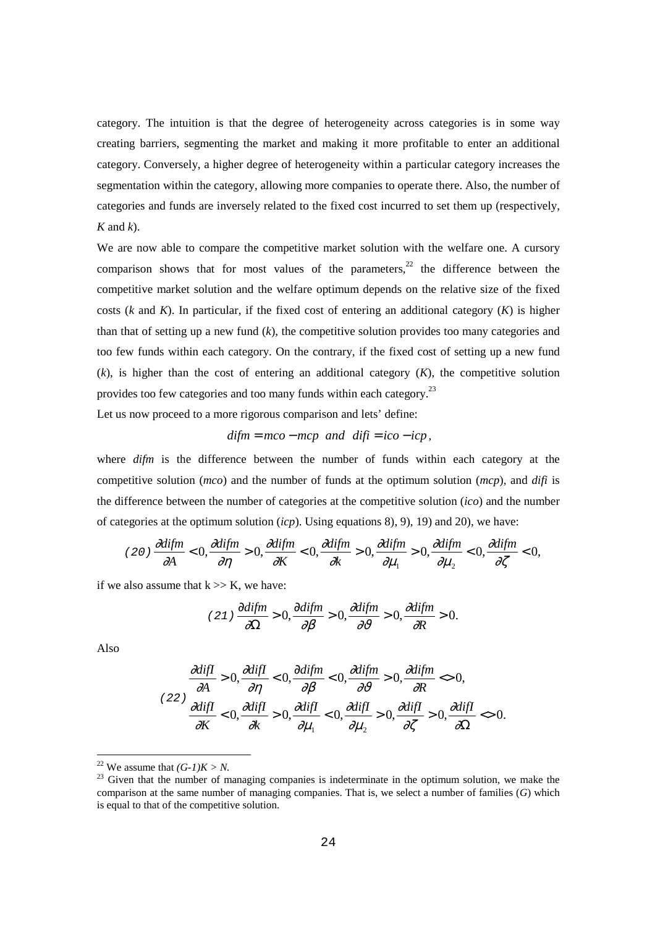category. The intuition is that the degree of heterogeneity across categories is in some way creating barriers, segmenting the market and making it more profitable to enter an additional category. Conversely, a higher degree of heterogeneity within a particular category increases the segmentation within the category, allowing more companies to operate there. Also, the number of categories and funds are inversely related to the fixed cost incurred to set them up (respectively, *K* and *k*).

We are now able to compare the competitive market solution with the welfare one. A cursory comparison shows that for most values of the parameters,<sup>22</sup> the difference between the competitive market solution and the welfare optimum depends on the relative size of the fixed costs  $(k \text{ and } K)$ . In particular, if the fixed cost of entering an additional category  $(K)$  is higher than that of setting up a new fund  $(k)$ , the competitive solution provides too many categories and too few funds within each category. On the contrary, if the fixed cost of setting up a new fund (*k*), is higher than the cost of entering an additional category (*K*), the competitive solution provides too few categories and too many funds within each category.23

Let us now proceed to a more rigorous comparison and lets' define:

$$
diffm = mco - mcp
$$
 and  $diff = ico - icp$ ,

where *difm* is the difference between the number of funds within each category at the competitive solution (*mco*) and the number of funds at the optimum solution (*mcp*), and *difi* is the difference between the number of categories at the competitive solution (*ico*) and the number of categories at the optimum solution (*icp*). Using equations 8), 9), 19) and 20), we have:

$$
(20)\frac{\partial \text{diffm}}{\partial A} < 0, \frac{\partial \text{diffm}}{\partial \eta} > 0, \frac{\partial \text{diffm}}{\partial K} < 0, \frac{\partial \text{diffm}}{\partial k} > 0, \frac{\partial \text{diffm}}{\partial \mu_1} > 0, \frac{\partial \text{diffm}}{\partial \mu_2} < 0, \frac{\partial \text{diffm}}{\partial \zeta} < 0,
$$

if we also assume that  $k \gg K$ , we have:

$$
(21)\frac{\partial difm}{\partial \Omega} > 0, \frac{\partial difm}{\partial \beta} > 0, \frac{\partial difm}{\partial \vartheta} > 0, \frac{\partial difm}{\partial R} > 0.
$$

Also

 $\equiv$ 

$$
\frac{\partial \text{diff}}{\partial A} > 0, \frac{\partial \text{diff}}{\partial \eta} < 0, \frac{\partial \text{diffm}}{\partial \beta} < 0, \frac{\partial \text{diffm}}{\partial \vartheta} > 0, \frac{\partial \text{diffm}}{\partial R} < 0,
$$
\n
$$
\frac{\partial \text{diffm}}{\partial K} < 0, \frac{\partial \text{diffm}}{\partial k} > 0, \frac{\partial \text{diffm}}{\partial \mu_1} < 0, \frac{\partial \text{diffm}}{\partial \mu_2} > 0, \frac{\partial \text{diffm}}{\partial \zeta} > 0, \frac{\partial \text{diffm}}{\partial \Omega} < 0.
$$

<sup>22</sup> We assume that  $(G-1)K > N$ .

<sup>&</sup>lt;sup>23</sup> Given that the number of managing companies is indeterminate in the optimum solution, we make the comparison at the same number of managing companies. That is, we select a number of families (*G*) which is equal to that of the competitive solution.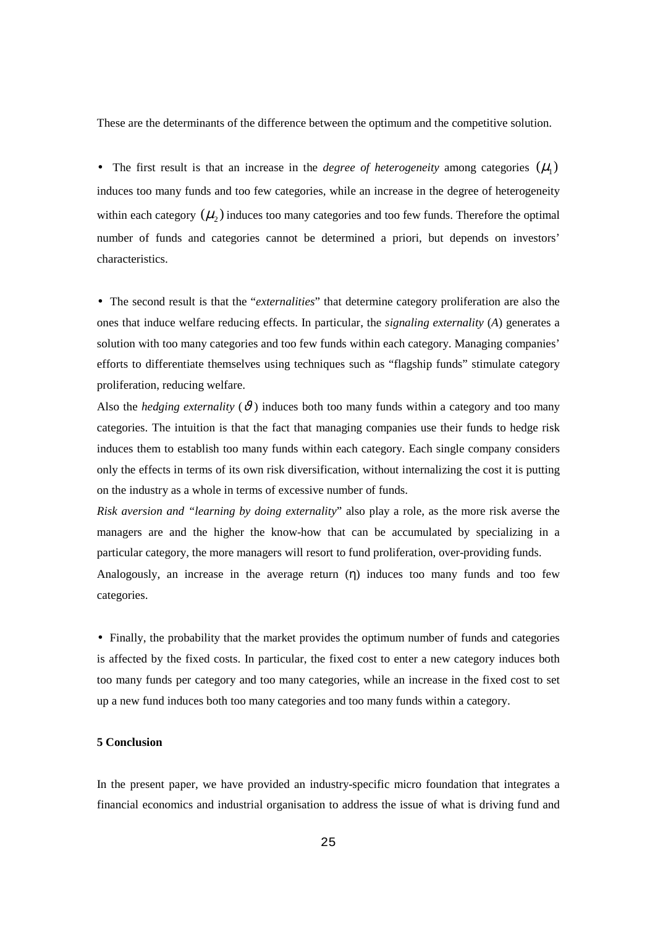These are the determinants of the difference between the optimum and the competitive solution.

• The first result is that an increase in the *degree of heterogeneity* among categories  $(\mu_1)$ induces too many funds and too few categories, while an increase in the degree of heterogeneity within each category  $(\mu)$  induces too many categories and too few funds. Therefore the optimal number of funds and categories cannot be determined a priori, but depends on investors' characteristics.

• The second result is that the "*externalities*" that determine category proliferation are also the ones that induce welfare reducing effects. In particular, the *signaling externality* (*A*) generates a solution with too many categories and too few funds within each category. Managing companies' efforts to differentiate themselves using techniques such as "flagship funds" stimulate category proliferation, reducing welfare.

Also the *hedging externality* ( $\vartheta$ ) induces both too many funds within a category and too many categories. The intuition is that the fact that managing companies use their funds to hedge risk induces them to establish too many funds within each category. Each single company considers only the effects in terms of its own risk diversification, without internalizing the cost it is putting on the industry as a whole in terms of excessive number of funds.

*Risk aversion and "learning by doing externality*" also play a role, as the more risk averse the managers are and the higher the know-how that can be accumulated by specializing in a particular category, the more managers will resort to fund proliferation, over-providing funds. Analogously, an increase in the average return  $(\eta)$  induces too many funds and too few

categories.

• Finally, the probability that the market provides the optimum number of funds and categories is affected by the fixed costs. In particular, the fixed cost to enter a new category induces both too many funds per category and too many categories, while an increase in the fixed cost to set up a new fund induces both too many categories and too many funds within a category.

## **5 Conclusion**

In the present paper, we have provided an industry-specific micro foundation that integrates a financial economics and industrial organisation to address the issue of what is driving fund and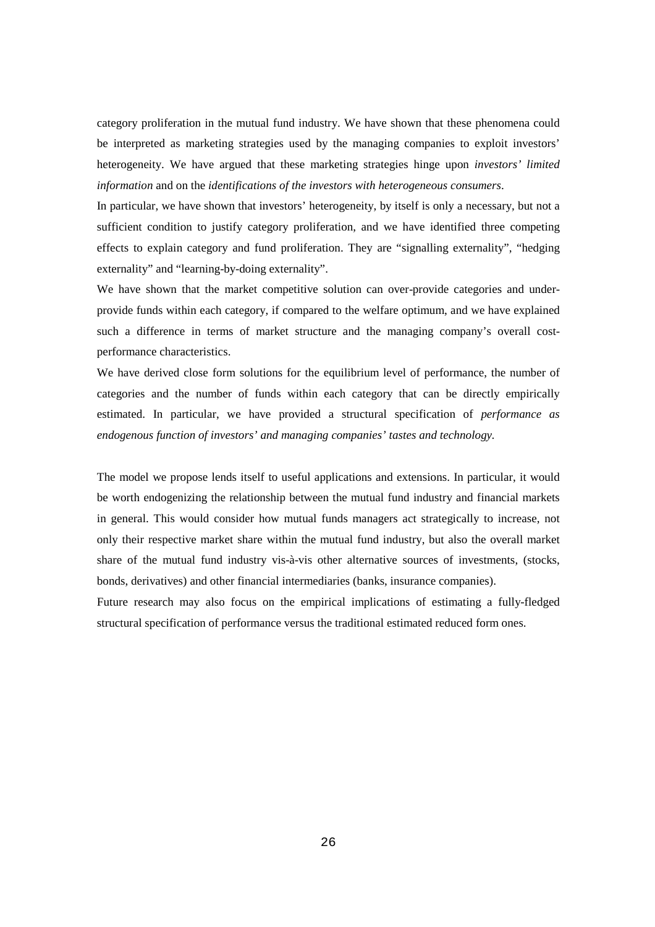category proliferation in the mutual fund industry. We have shown that these phenomena could be interpreted as marketing strategies used by the managing companies to exploit investors' heterogeneity. We have argued that these marketing strategies hinge upon *investors' limited information* and on the *identifications of the investors with heterogeneous consumers*.

In particular, we have shown that investors' heterogeneity, by itself is only a necessary, but not a sufficient condition to justify category proliferation, and we have identified three competing effects to explain category and fund proliferation. They are "signalling externality", "hedging externality" and "learning-by-doing externality".

We have shown that the market competitive solution can over-provide categories and underprovide funds within each category, if compared to the welfare optimum, and we have explained such a difference in terms of market structure and the managing company's overall costperformance characteristics.

We have derived close form solutions for the equilibrium level of performance, the number of categories and the number of funds within each category that can be directly empirically estimated. In particular, we have provided a structural specification of *performance as endogenous function of investors' and managing companies' tastes and technology.* 

The model we propose lends itself to useful applications and extensions. In particular, it would be worth endogenizing the relationship between the mutual fund industry and financial markets in general. This would consider how mutual funds managers act strategically to increase, not only their respective market share within the mutual fund industry, but also the overall market share of the mutual fund industry vis-à-vis other alternative sources of investments, (stocks, bonds, derivatives) and other financial intermediaries (banks, insurance companies).

Future research may also focus on the empirical implications of estimating a fully-fledged structural specification of performance versus the traditional estimated reduced form ones.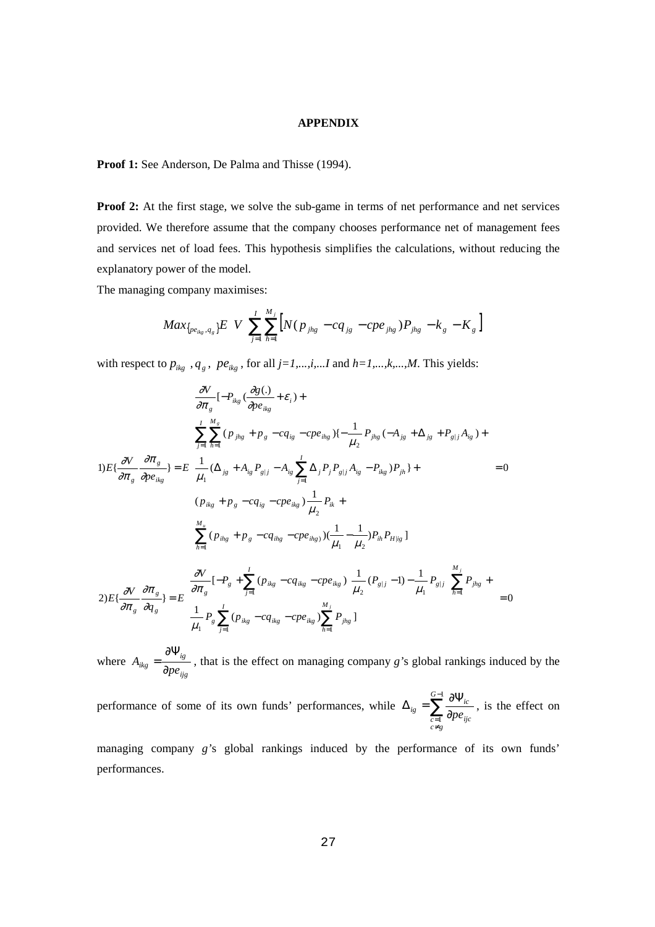#### **APPENDIX**

Proof 1: See Anderson, De Palma and Thisse (1994).

**Proof 2:** At the first stage, we solve the sub-game in terms of net performance and net services provided. We therefore assume that the company chooses performance net of management fees and services net of load fees. This hypothesis simplifies the calculations, without reducing the explanatory power of the model.

The managing company maximises:

$$
Max_{\{pe_{ikg}, q_g\}} E \left\{ V \left[ \sum_{j=1}^{I} \sum_{h=1}^{M_j} \left[ N (p_{jhg} - c q_{jg} - c p e_{jhg}) P_{jhg} - k_g - K_g \right] \right] \right\}
$$

with respect to  $p_{ikg}$  ,  $q_g$  ,  $pe_{ikg}$  , for all  $j=1,...,i,...I$  and  $h=1,...,k,...,M$  . This yields:

$$
1) E\{\frac{\partial V}{\partial \pi_{g}}\left[-P_{ikg}\left(\frac{\partial g(.)}{\partial p e_{ikg}} + \varepsilon_{i}\right) + \frac{\sum_{j=1}^{I} \sum_{h=1}^{M_{s}} (p_{jhg} + p_{g} - cq_{ig} - cp e_{ihg})\{-\frac{1}{\mu_{2}} P_{jhg}(-A_{jg} + \Delta_{jg} + P_{g|j}A_{ig}) + \frac{\sum_{j=1}^{I} \sum_{h=1}^{M_{s}} (p_{jhg} + p_{g} - cq_{ig} - cp e_{ihg})\{-\frac{1}{\mu_{2}} P_{jhg}(-A_{jg} + \Delta_{jg} + P_{g|j}A_{ig}) + \frac{\sum_{j=1}^{I} (\Delta_{jg} + A_{ig} P_{g|j} - A_{ig} \sum_{j=1}^{I} \Delta_{j} P_{j} P_{g|j}A_{ig} - P_{ikg})P_{jh}\} + \frac{\sum_{j=1}^{I} (p_{ikg} + p_{g} - cq_{ig} - cp e_{ikg})\frac{1}{\mu_{2}} P_{ik} + \frac{\sum_{h=1}^{M_{s}} (p_{ihg} + p_{g} - cq_{ihg} - cp e_{ihg})\left(\frac{1}{\mu_{1}} - \frac{1}{\mu_{2}}\right) P_{ih} P_{H|ig}\} + \frac{\sum_{h=1}^{J} (\sum_{j=1}^{I} (p_{ikg} - cq_{ikg} - cp e_{ikg})\left[\frac{1}{\mu_{2}} (P_{g|j} - 1) - \frac{1}{\mu_{1}} P_{g|j}\right]\sum_{h=1}^{M_{j}} P_{jhg} + \frac{\sum_{h=1}^{J} (p_{ikg} - cq_{ikg} - cp e_{ikg})\sum_{h=1}^{M_{j}} P_{jhg}\} - 0
$$

where *ijg ig*  $A_{ikg} = \frac{1}{\partial pe}$ ∂  $=\frac{\partial \Psi_{ig}}{\partial x}$ , that is the effect on managing company *g*'s global rankings induced by the

performance of some of its own funds' performances, while  $\Delta_{ig} = \sum_{i=1}^{G-1}$  $\sum_{=1}^{\infty}$   $\partial$  $\Delta_{ip} = \sum_{i=1}^{G-1} \frac{\partial \Psi}{\partial x_i}$ 1 *G*  $\int_{c \neq g}^{c=1}$   $\frac{d\mu e_{ijc}}{d\sigma}$  $\hat{p}_g = \sum_{c=1}^{\infty} \frac{\partial \mathbf{1}_{ic}}{\partial p e_{ijc}}$ , is the effect on

managing company *g'*s global rankings induced by the performance of its own funds' performances.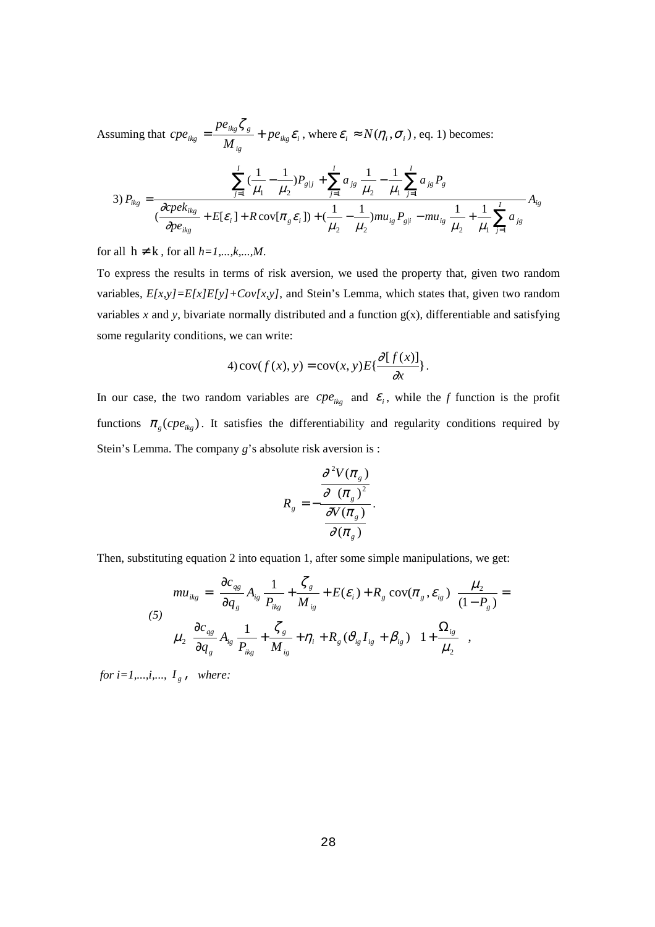Assuming that  $cpe_{ikg} = \frac{1 - ikg g g}{M} + pe_{ikg} \varepsilon_i$ *ig*  $\frac{\partial}{\partial k_g} = \frac{P \epsilon_{ikg} \cdot s_g}{M_{io}} + p e$ *pe*  $cpe_{ikg} = \frac{pe_{ikg}\zeta_g}{M} + pe_{ikg}\varepsilon_i$ , where  $\varepsilon_i \approx N(\eta_i, \sigma_i)$ , eq. 1) becomes:

$$
3) P_{ikg} = \frac{\sum_{j=1}^{I} (\frac{1}{\mu_1} - \frac{1}{\mu_2}) P_{g|j} + \sum_{j=1}^{I} a_{js} \frac{1}{\mu_2} - \frac{1}{\mu_1} \sum_{j=1}^{I} a_{js} P_g}{\frac{\partial cpek_{ikg}}{\partial pe_{ikg}} + E[\varepsilon_i] + R \cos[\pi_g \varepsilon_i]) + (\frac{1}{\mu_2} - \frac{1}{\mu_2}) m u_{ig} P_{g|i} - m u_{ig} \frac{1}{\mu_2} + \frac{1}{\mu_1} \sum_{j=1}^{I} a_{js}} A_{ig}
$$

for all  $h \neq k$ , for all  $h=1,...,k,...,M$ .

To express the results in terms of risk aversion, we used the property that, given two random variables, *E[x,y]=E[x]E[y]+Cov[x,y]*, and Stein's Lemma, which states that, given two random variables  $x$  and  $y$ , bivariate normally distributed and a function  $g(x)$ , differentiable and satisfying some regularity conditions, we can write:

4) cov
$$
(f(x), y) = cov(x, y) E{\frac{\partial [f(x)]}{\partial x}}
$$
.

In our case, the two random variables are  $cpe_{ikg}$  and  $\varepsilon_i$ , while the *f* function is the profit functions  $\pi_g ( c p e_{ikg})$ . It satisfies the differentiability and regularity conditions required by Stein's Lemma. The company *g*'s absolute risk aversion is :

$$
R_{g} = -\frac{\frac{\partial^{2} V(\pi_{g})}{\partial (\pi_{g})^{2}}}{\frac{\partial V(\pi_{g})}{\partial (\pi_{g})}}.
$$

Then, substituting equation 2 into equation 1, after some simple manipulations, we get:

$$
mu_{ikg} = \left[ \frac{\partial c_{qg}}{\partial q_g} A_{ig} \frac{1}{P_{ikg}} + \frac{\zeta_g}{M_{ig}} + E(\varepsilon_i) + R_g \operatorname{cov}(\pi_g, \varepsilon_{ig}) \right] \frac{\mu_2}{(1 - P_g)} =
$$
  
(5)  

$$
\mu_2 \left[ \frac{\partial c_{qg}}{\partial q_g} A_{ig} \frac{1}{P_{ikg}} + \frac{\zeta_g}{M_{ig}} + \eta_i + R_g (\partial_{ig} I_{ig} + \beta_{ig}) \right] \left[ 1 + \frac{\Omega_{ig}}{\mu_2} \right],
$$

*for i=1,...,i,...,*  $I_g$ , where: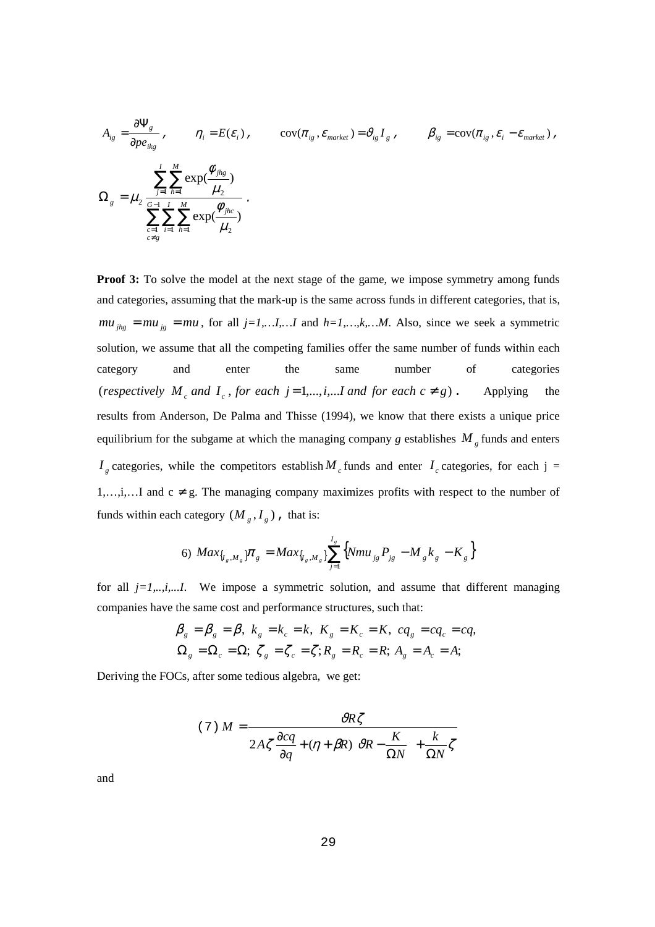$$
A_{ig} = \frac{\partial \Psi_g}{\partial p e_{ikg}} , \qquad \eta_i = E(\varepsilon_i) , \qquad \text{cov}(\pi_{ig}, \varepsilon_{market}) = \vartheta_{ig} I_g , \qquad \beta_{ig} = \text{cov}(\pi_{ig}, \varepsilon_i - \varepsilon_{market}) ,
$$
  

$$
\Omega_g = \mu_2 \frac{\sum_{j=1}^{I} \sum_{h=1}^{M} \exp(\frac{\phi_{jhg}}{\mu_2})}{\sum_{\substack{c=1 \ c \neq g}}^{I} \sum_{i=1}^{I} \sum_{h=1}^{M} \exp(\frac{\phi_{jhc}}{\mu_2})} .
$$

**Proof 3:** To solve the model at the next stage of the game, we impose symmetry among funds and categories, assuming that the mark-up is the same across funds in different categories, that is,  $mu_{jkg} = mu_{jg} = mu$ , for all  $j=1,...I,...I$  and  $h=1,...,k,...M$ . Also, since we seek a symmetric solution, we assume that all the competing families offer the same number of funds within each category and enter the same number of categories (*respectively*  $M_c$  *and*  $I_c$ , *for each*  $j = 1,...,i,...$ *I and for each*  $c \neq g$ ). Applying the results from Anderson, De Palma and Thisse (1994), we know that there exists a unique price equilibrium for the subgame at which the managing company *g* establishes  $M<sub>g</sub>$  funds and enters  $I_g$  categories, while the competitors establish  $M_c$  funds and enter  $I_c$  categories, for each j = 1,...,i,...I and  $c \neq g$ . The managing company maximizes profits with respect to the number of funds within each category  $(M_g, I_g)$ , that is:

6) 
$$
Max_{\{I_s, M_s\}} \pi_g = Max_{\{I_s, M_s\}} \sum_{j=1}^{I_s} \{ Nmu_{jg} P_{jg} - M_g k_g - K_g \}
$$

for all  $j=1, \ldots, i, \ldots$ *I.* We impose a symmetric solution, and assume that different managing companies have the same cost and performance structures, such that:

$$
\beta_{g} = \beta_{g} = \beta, \ k_{g} = k_{c} = k, \ K_{g} = K_{c} = K, \ cq_{g} = cq_{c} = cq,
$$
  

$$
\Omega_{g} = \Omega_{c} = \Omega; \ \zeta_{g} = \zeta_{c} = \zeta; R_{g} = R_{c} = R; A_{g} = A_{c} = A;
$$

Deriving the FOCs, after some tedious algebra, we get:

$$
(7) M = \frac{\partial R\zeta}{2A\zeta \frac{\partial cq}{\partial q} + (\eta + \beta R) \left[\partial R - \frac{K}{\Omega N}\right] + \frac{k}{\Omega N}\zeta}
$$

and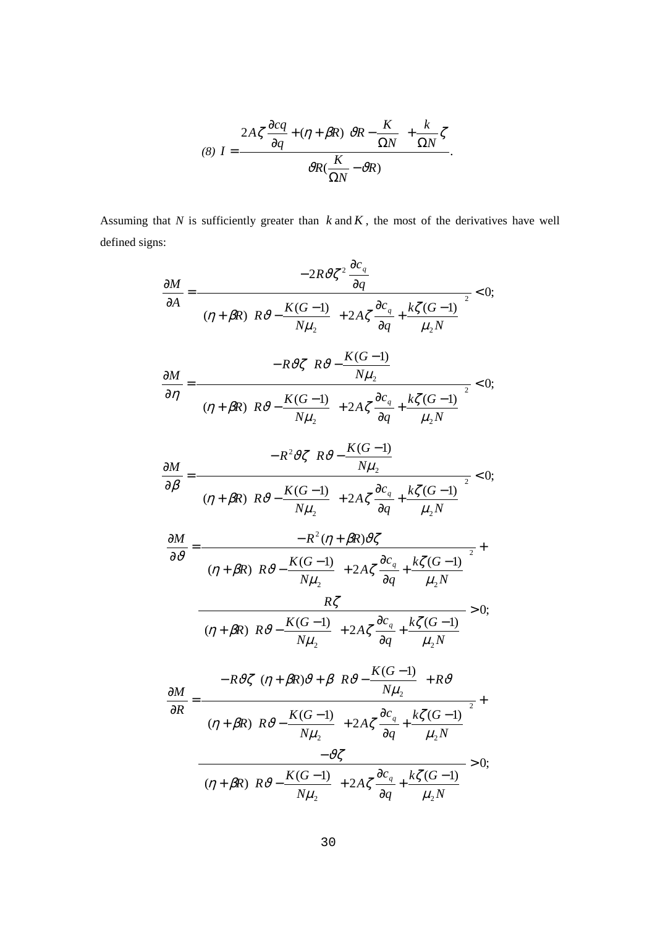$$
(8) I = \frac{2A\zeta \frac{\partial cq}{\partial q} + (\eta + \beta R) \left[\vartheta R - \frac{K}{\Omega N}\right] + \frac{k}{\Omega N} \zeta}{\vartheta R(\frac{K}{\Omega N} - \vartheta R)}.
$$

Assuming that  $N$  is sufficiently greater than  $k$  and  $K$ , the most of the derivatives have well defined signs:

$$
\frac{\partial M}{\partial A} = \frac{-2R \frac{\partial \zeta}{\partial \zeta^{2}} \frac{\partial c_{q}}{\partial q}}{\left[ (\eta + \beta R) \left( R \frac{\partial \zeta}{\partial \zeta} - \frac{K(G-1)}{N\mu_{2}} \right) + 2A\zeta \frac{\partial c_{q}}{\partial q} + \frac{k\zeta(G-1)}{\mu_{2}N} \right]^{2}} < 0;
$$
\n
$$
\frac{\partial M}{\partial \eta} = \frac{-R \frac{\partial \zeta}{\partial R} \left( R \frac{\partial \zeta}{\partial \zeta} - \frac{K(G-1)}{N\mu_{2}} \right)}{\left[ (\eta + \beta R) \left( R \frac{\partial \zeta}{\partial \zeta} - \frac{K(G-1)}{N\mu_{2}} \right) + 2A\zeta \frac{\partial c_{q}}{\partial q} + \frac{k\zeta(G-1)}{\mu_{2}N} \right]^{2}} < 0;
$$
\n
$$
\frac{\partial M}{\partial \beta} = \frac{-R^{2} \frac{\partial \zeta}{\partial R} \left( R \frac{\partial \zeta}{\partial \zeta} - \frac{K(G-1)}{N\mu_{2}} \right)}{\left[ (\eta + \beta R) \left( R \frac{\partial \zeta}{\partial \zeta} - \frac{K(G-1)}{N\mu_{2}} \right) + 2A\zeta \frac{\partial c_{q}}{\partial q} + \frac{k\zeta(G-1)}{\mu_{2}N} \right]^{2}} + \frac{R\zeta}{\sqrt{2}} \frac{\left[ (\eta + \beta R) \left( R \frac{\partial \zeta}{\partial \zeta} - \frac{K(G-1)}{N\mu_{2}} \right) + 2A\zeta \frac{\partial c_{q}}{\partial q} + \frac{k\zeta(G-1)}{\mu_{2}N} \right]^{2}}{\left[ (\eta + \beta R) \left( R \frac{\partial \zeta}{\partial \zeta} - \frac{K(G-1)}{N\mu_{2}} \right) + 2A\zeta \frac{\partial c_{q}}{\partial q} + \frac{k\zeta(G-1)}{\mu_{2}N} \right]^{2}} + \frac{-\partial \zeta}{\partial R} = \frac{-R \frac{\partial \zeta}{\partial \zeta} \left[ (\eta + \beta R) \frac{\partial \zeta}{\partial \zeta} - \frac{K(G-1)}{N\mu_{2}} \right] + 2A\zeta \frac{\partial c_{q}}{\partial
$$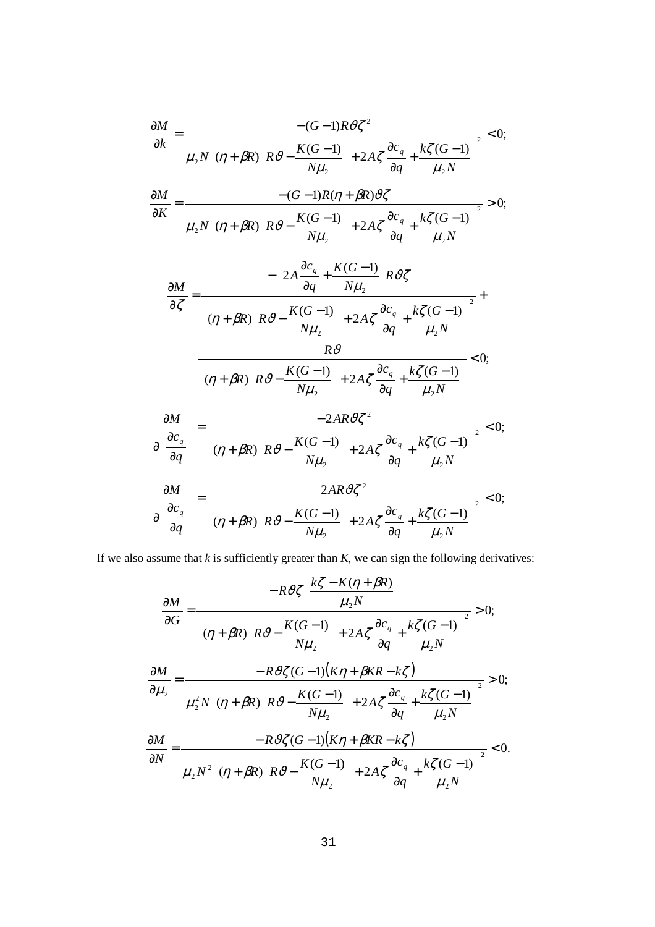$$
\frac{\partial M}{\partial k} = \frac{-(G-1)R\vartheta\zeta^{2}}{\mu_{2}N\left[\left(\eta + \beta R\right)\left(R\vartheta - \frac{K(G-1)}{N\mu_{2}}\right) + 2A\zeta\frac{\partial c_{q}}{\partial q} + \frac{k\zeta(G-1)}{\mu_{2}N}\right]^{2}} < 0;
$$
\n
$$
\frac{\partial M}{\partial K} = \frac{-(G-1)R(\eta + \beta R)\vartheta\zeta}{\mu_{2}N\left[\left(\eta + \beta R\right)\left(R\vartheta - \frac{K(G-1)}{N\mu_{2}}\right) + 2A\zeta\frac{\partial c_{q}}{\partial q} + \frac{k\zeta(G-1)}{\mu_{2}N}\right]^{2}} - \left(2A\frac{\partial c_{q}}{\partial q} + \frac{K(G-1)}{N\mu_{2}}\right)R\vartheta\zeta
$$
\n
$$
\frac{-\left(2A\frac{\partial c_{q}}{\partial q} + \frac{K(G-1)}{N\mu_{2}}\right) + 2A\zeta\frac{\partial c_{q}}{\partial q} + \frac{k\zeta(G-1)}{\mu_{2}N}\right]^{2}}{R\vartheta}
$$
\n
$$
\frac{R\vartheta}{\left[\left(\eta + \beta R\right)\left(R\vartheta - \frac{K(G-1)}{N\mu_{2}}\right) + 2A\zeta\frac{\partial c_{q}}{\partial q} + \frac{k\zeta(G-1)}{\mu_{2}N}\right]^{2}} < 0;
$$
\n
$$
\frac{\partial M}{\partial\left(\frac{\partial c_{q}}{\partial q}\right)} = \frac{-2AR\vartheta\zeta^{2}}{\left[\left(\eta + \beta R\right)\left(R\vartheta - \frac{K(G-1)}{N\mu_{2}}\right) + 2A\zeta\frac{\partial c_{q}}{\partial q} + \frac{k\zeta(G-1)}{\mu_{2}N}\right]^{2}} < 0;
$$
\n
$$
\frac{\partial M}{\partial\left(\frac{\partial c_{q}}{\partial q}\right)} = \frac{2AR\vartheta\zeta^{2}}{\left[\left(\eta + \beta R\right)\left(R\vartheta - \frac{K(G-1)}{N\mu_{2}}\right) + 2A\zeta\frac{\partial c_{q}}{\partial q} + \frac{k\zeta(G-1)}{\mu_{2}N}\right]^{2}} < 0;
$$

If we also assume that  $k$  is sufficiently greater than  $K$ , we can sign the following derivatives:

$$
\frac{\partial M}{\partial G} = \frac{-R \vartheta \zeta \left(\frac{k\zeta - K(\eta + \beta R)}{\mu_2 N}\right)}{\left[(\eta + \beta R)\left(R \vartheta - \frac{K(G-1)}{N\mu_2}\right) + 2A\zeta \frac{\partial c_q}{\partial q} + \frac{k\zeta(G-1)}{\mu_2 N}\right]^2} > 0;
$$
\n
$$
\frac{\partial M}{\partial \mu_2} = \frac{-R \vartheta \zeta(G-1)(K\eta + \beta KR - k\zeta)}{\mu_2^2 N \left[(\eta + \beta R)\left(R \vartheta - \frac{K(G-1)}{N\mu_2}\right) + 2A\zeta \frac{\partial c_q}{\partial q} + \frac{k\zeta(G-1)}{\mu_2 N}\right]^2} > 0;
$$
\n
$$
\frac{\partial M}{\partial N} = \frac{-R \vartheta \zeta(G-1)(K\eta + \beta KR - k\zeta)}{\mu_2 N^2 \left[(\eta + \beta R)\left(R \vartheta - \frac{K(G-1)}{N\mu_2}\right) + 2A\zeta \frac{\partial c_q}{\partial q} + \frac{k\zeta(G-1)}{\mu_2 N}\right]^2} < 0.
$$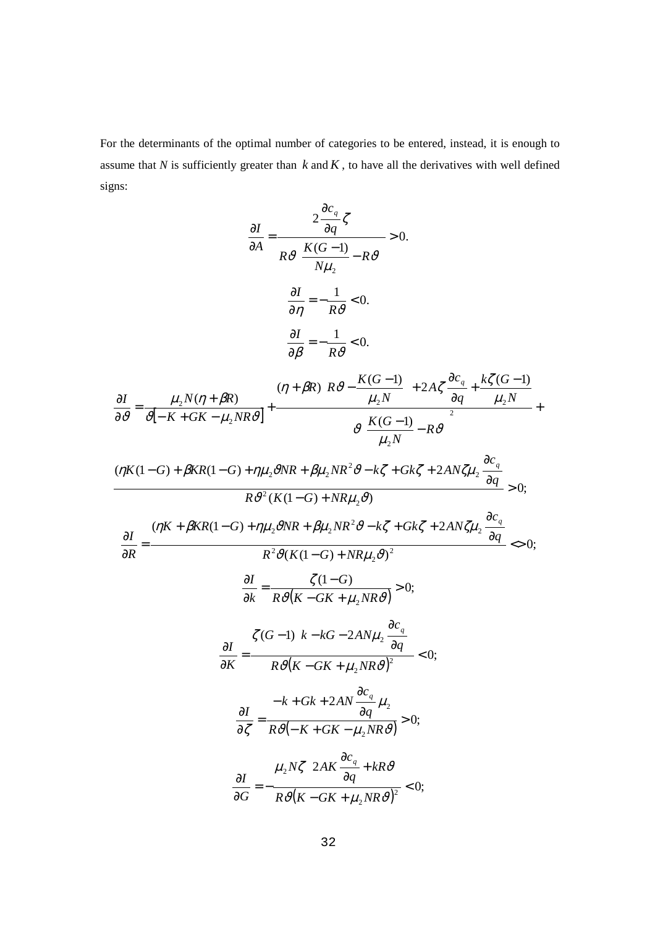For the determinants of the optimal number of categories to be entered, instead, it is enough to assume that  $N$  is sufficiently greater than  $k$  and  $K$ , to have all the derivatives with well defined signs:

$$
\frac{\partial I}{\partial A} = \frac{2 \frac{\partial c_q}{\partial q} \zeta}{R \vartheta \left( \frac{K(G-1)}{N\mu_2} - R \vartheta \right)} > 0.
$$
\n
$$
\frac{\partial I}{\partial \eta} = -\frac{1}{R \vartheta} < 0.
$$
\n
$$
\frac{\partial I}{\partial \rho} = -\frac{1}{R \vartheta} < 0.
$$
\n
$$
\frac{\partial I}{\partial \rho} = \frac{\mu_2 N(\eta + \beta R)}{\vartheta [-K + GK - \mu_2 N R \vartheta]} + \frac{(\eta + \beta R) \left( R \vartheta - \frac{K(G-1)}{\mu_2 N} \right) + 2A \zeta \frac{\partial c_q}{\partial q} + \frac{k \zeta (G-1)}{\mu_2 N} + \frac{k \zeta (G-1)}{\vartheta [-K + GK - \mu_2 N R \vartheta]} + \frac{\vartheta \left( \frac{K(G-1)}{\mu_2 N} - R \vartheta \right)^2}{\vartheta \left( \frac{K(G-1)}{\mu_2 N} - R \vartheta \right)^2} + \frac{(\eta K (1 - G) + \eta \mu_2 \vartheta N R + \beta \mu_2 N R^2 \vartheta - k \zeta + G k \zeta + 2A N \zeta \mu_2 \frac{\partial c_q}{\partial q}}{R \vartheta^2 (K (1 - G) + N R \mu_2 \vartheta)} > 0;
$$
\n
$$
\frac{\partial I}{\partial R} = \frac{(\eta K + \beta K R (1 - G) + \eta \mu_2 \vartheta N R + \beta \mu_2 N R^2 \vartheta - k \zeta + G k \zeta + 2A N \zeta \mu_2 \frac{\partial c_q}{\partial q}}{R^2 \vartheta (K (1 - G) + N R \mu_2 \vartheta)^2} > 0;
$$
\n
$$
\frac{\partial I}{\partial K} = \frac{\zeta (1 - G)}{R \vartheta (K - G K + \mu_2 N R \vartheta)^2} < 0;
$$
\n
$$
\frac{\partial I}{\partial \zeta} = \frac{-k + G k + 2A N \frac{\partial c_q}{\partial q}}{R \vartheta (K - G K + \mu_2 N R \vartheta)^2} < 0;
$$
\n
$$
\frac{\partial I}{\partial G} = -\frac{\mu_2 N \zeta \left( 2A K \frac{\partial c_q}{\partial q} + k R \vartheta \
$$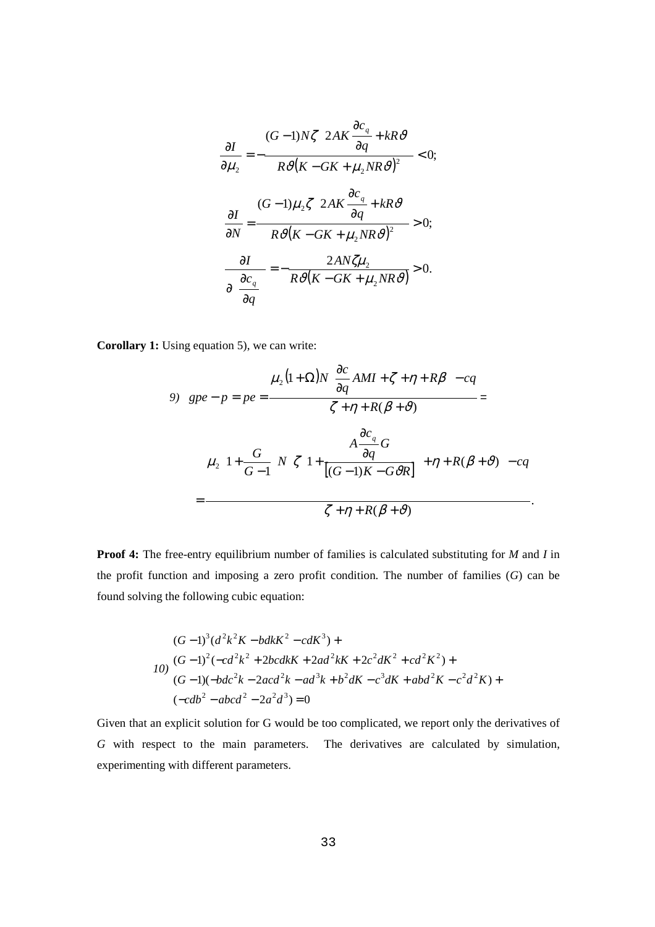$$
\frac{\partial I}{\partial \mu_2} = -\frac{(G-1)N\zeta \left(2AK\frac{\partial c_q}{\partial q} + kR\vartheta\right)}{R\vartheta(K - GK + \mu_2 NR\vartheta)^2} < 0;
$$
\n
$$
\frac{\partial I}{\partial N} = \frac{(G-1)\mu_2\zeta \left(2AK\frac{\partial c_q}{\partial q} + kR\vartheta\right)}{R\vartheta(K - GK + \mu_2 NR\vartheta)^2} > 0;
$$
\n
$$
\frac{\partial I}{\partial \left(\frac{\partial c_q}{\partial q}\right)} = -\frac{2AN\zeta\mu_2}{R\vartheta(K - GK + \mu_2 NR\vartheta)} > 0.
$$

**Corollary 1:** Using equation 5), we can write:

9) 
$$
gpe - p = pe = \frac{\mu_2 (1 + \Omega) N \left[ \frac{\partial c}{\partial q} AMI + \zeta + \eta + R\beta \right] - cq}{\zeta + \eta + R(\beta + \vartheta)} =
$$

$$
\mu_2 \left( 1 + \frac{G}{G - 1} \right) N \left[ \zeta \left( 1 + \frac{A \frac{\partial c_q}{\partial q} G}{[(G - 1)K - G \vartheta R]} \right) + \eta + R(\beta + \vartheta) \right] - cq
$$

$$
= \frac{\zeta + \eta + R(\beta + \vartheta)}{\zeta + \eta + R(\beta + \vartheta)}.
$$

**Proof 4:** The free-entry equilibrium number of families is calculated substituting for *M* and *I* in the profit function and imposing a zero profit condition. The number of families (*G*) can be found solving the following cubic equation:

$$
(G-1)^{3} (d^{2}k^{2}K - bdkK^{2} - cdK^{3}) +
$$
  
\n
$$
I0) \ (G-1)^{2} (-cd^{2}k^{2} + 2bcdkK + 2ad^{2}kK + 2c^{2}dK^{2} + cd^{2}K^{2}) +
$$
  
\n
$$
(G-1)(-bdc^{2}k - 2acd^{2}k - ad^{3}k + b^{2}dK - c^{3}dK + abd^{2}K - c^{2}d^{2}K) +
$$
  
\n
$$
(-cdb^{2} - abcd^{2} - 2a^{2}d^{3}) = 0
$$

Given that an explicit solution for G would be too complicated, we report only the derivatives of *G* with respect to the main parameters. The derivatives are calculated by simulation, experimenting with different parameters.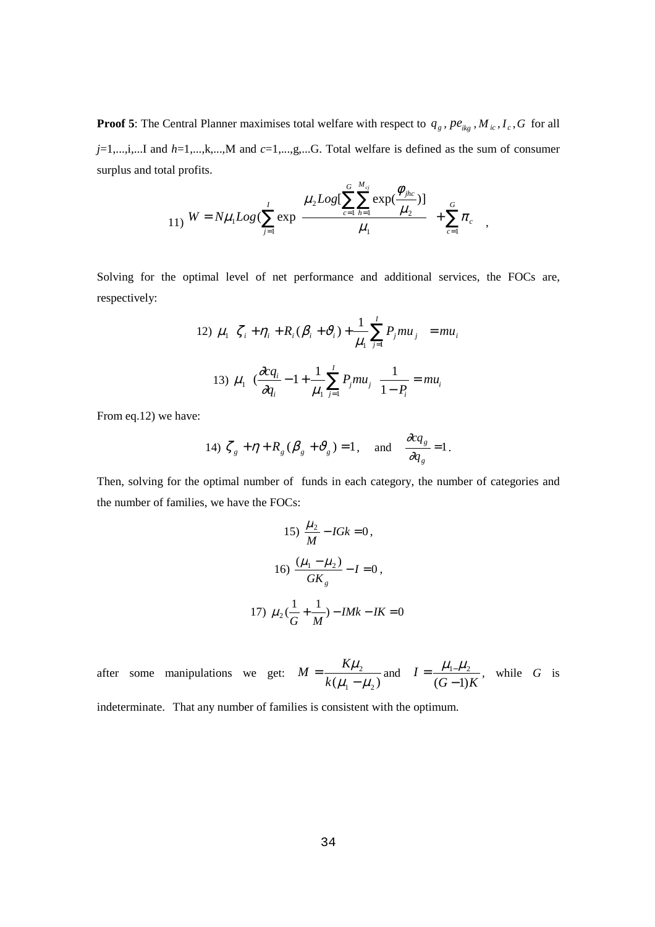**Proof 5**: The Central Planner maximises total welfare with respect to  $q_g$ ,  $pe_{ikg}$ ,  $M_{ic}$ ,  $I_c$ ,  $G$  for all *j*=1,...,i,...I and *h*=1,...,k,...,M and *c*=1,...,g,...G. Total welfare is defined as the sum of consumer surplus and total profits.  $\overline{a}$  $\epsilon$ 

11) 
$$
W = N\mu_1 Log(\sum_{j=1}^{I} exp\left\{\frac{\mu_2 Log[\sum_{c=1}^{G}\sum_{h=1}^{M_{cj}} exp(\frac{\phi_{jhc}}{\mu_2})]}{\mu_1}\right\} + \sum_{c=1}^{G} \pi_c
$$

Solving for the optimal level of net performance and additional services, the FOCs are, respectively:

12) 
$$
\mu_1 \left\{ \zeta_i + \eta_i + R_i (\beta_i + \vartheta_i) + \frac{1}{\mu_1} \sum_{j=1}^l P_j m u_j \right\} = m u_i
$$
  
13)  $\mu_1 \left\{ \left( \frac{\partial c q_i}{\partial q_i} - 1 + \frac{1}{\mu_1} \sum_{j=1}^l P_j m u_j \right\} \frac{1}{1 - P_i} = m u_i \right\}$ 

From eq.12) we have:

14) 
$$
\zeta_g + \eta + R_g (\beta_g + \vartheta_g) = 1
$$
, and  $\frac{\partial c q_g}{\partial q_g} = 1$ .

Then, solving for the optimal number of funds in each category, the number of categories and the number of families, we have the FOCs:

15) 
$$
\frac{\mu_2}{M} - IGk = 0
$$
,  
\n16)  $\frac{(\mu_1 - \mu_2)}{GK_g} - I = 0$ ,  
\n17)  $\mu_2(\frac{1}{G} + \frac{1}{M}) - IMk - IK = 0$ 

after some manipulations we get:  $M = \frac{R\mu_2}{k(\mu_1 - \mu_2)}$  $\mu_{_1}-\mu_{_2}$  $M = \frac{K\mu_2}{k(\mu_1 - \mu_2)}$  and  $(G-1)K$ *I*  $(G-1)$  $=\frac{\mu_{1} \mu_{2}}{(G-1)K}$ , while *G* is

indeterminate. That any number of families is consistent with the optimum.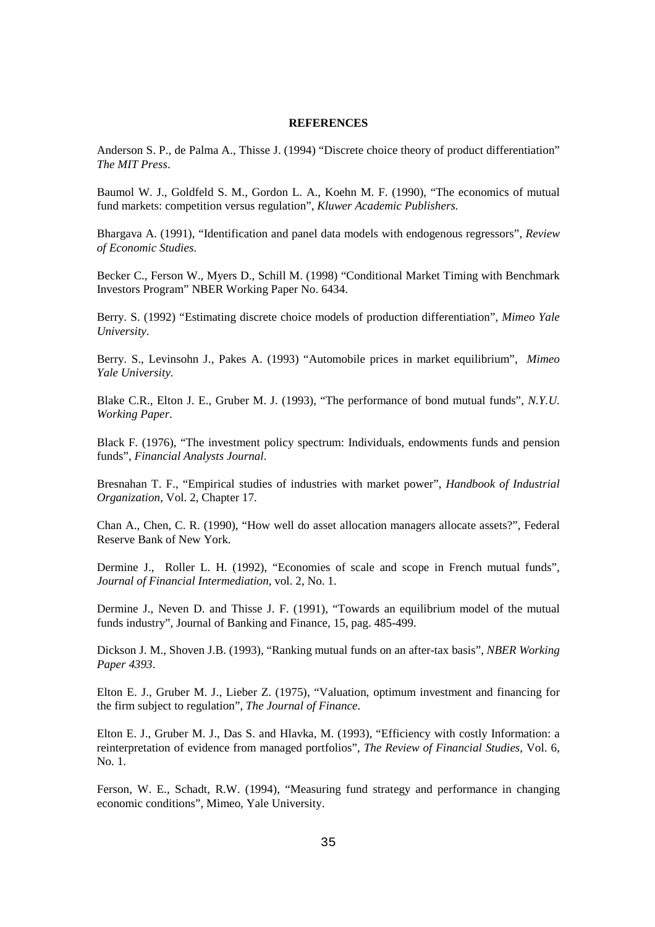#### **REFERENCES**

Anderson S. P., de Palma A., Thisse J. (1994) "Discrete choice theory of product differentiation" *The MIT Press*.

Baumol W. J., Goldfeld S. M., Gordon L. A., Koehn M. F. (1990), "The economics of mutual fund markets: competition versus regulation", *Kluwer Academic Publishers.*

Bhargava A. (1991), "Identification and panel data models with endogenous regressors", *Review of Economic Studies*.

Becker C., Ferson W., Myers D., Schill M. (1998) "Conditional Market Timing with Benchmark Investors Program" NBER Working Paper No. 6434.

Berry. S. (1992) "Estimating discrete choice models of production differentiation", *Mimeo Yale University.* 

Berry. S., Levinsohn J., Pakes A. (1993) "Automobile prices in market equilibrium", *Mimeo Yale University.* 

Blake C.R., Elton J. E., Gruber M. J. (1993), "The performance of bond mutual funds", *N.Y.U. Working Paper*.

Black F. (1976), "The investment policy spectrum: Individuals, endowments funds and pension funds", *Financial Analysts Journal*.

Bresnahan T. F., "Empirical studies of industries with market power", *Handbook of Industrial Organization*, Vol. 2, Chapter 17.

Chan A., Chen, C. R. (1990), "How well do asset allocation managers allocate assets?", Federal Reserve Bank of New York.

Dermine J., Roller L. H. (1992), "Economies of scale and scope in French mutual funds", *Journal of Financial Intermediation*, vol. 2, No. 1.

Dermine J., Neven D. and Thisse J. F. (1991), "Towards an equilibrium model of the mutual funds industry", Journal of Banking and Finance, 15, pag. 485-499.

Dickson J. M., Shoven J.B. (1993), "Ranking mutual funds on an after-tax basis", *NBER Working Paper 4393*.

Elton E. J., Gruber M. J., Lieber Z. (1975), "Valuation, optimum investment and financing for the firm subject to regulation", *The Journal of Finance*.

Elton E. J., Gruber M. J., Das S. and Hlavka, M. (1993), "Efficiency with costly Information: a reinterpretation of evidence from managed portfolios", *The Review of Financial Studies*, Vol. 6, No. 1.

Ferson, W. E., Schadt, R.W. (1994), "Measuring fund strategy and performance in changing economic conditions", Mimeo, Yale University.